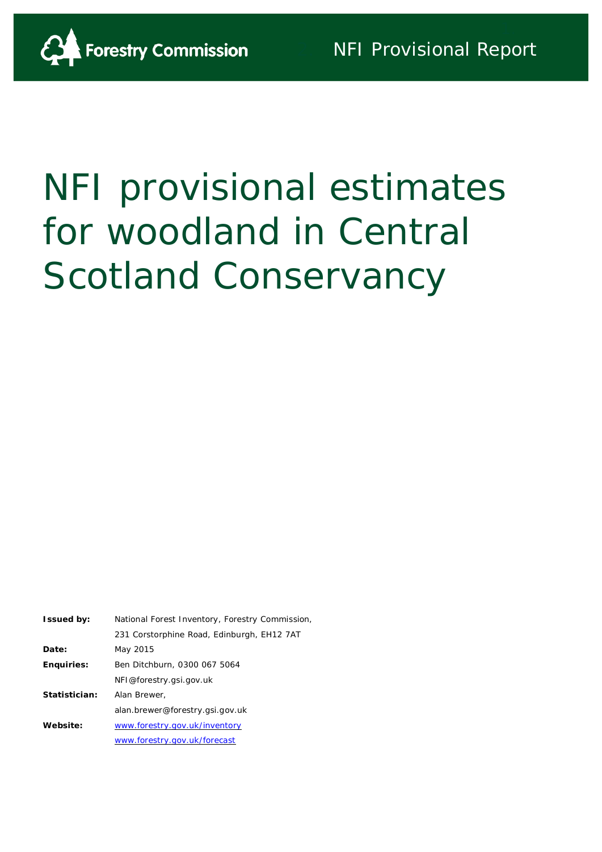

# NFI provisional estimates for woodland in Central Scotland Conservancy

| <b>Issued by:</b> | National Forest Inventory, Forestry Commission, |
|-------------------|-------------------------------------------------|
|                   | 231 Corstorphine Road, Edinburgh, EH12 7AT      |
| Date:             | May 2015                                        |
| <b>Enquiries:</b> | Ben Ditchburn, 0300 067 5064                    |
|                   | NFI@forestry.gsi.gov.uk                         |
| Statistician:     | Alan Brewer.                                    |
|                   | alan.brewer@forestry.gsi.gov.uk                 |
| Website:          | www.forestry.gov.uk/inventory                   |
|                   | www.forestry.gov.uk/forecast                    |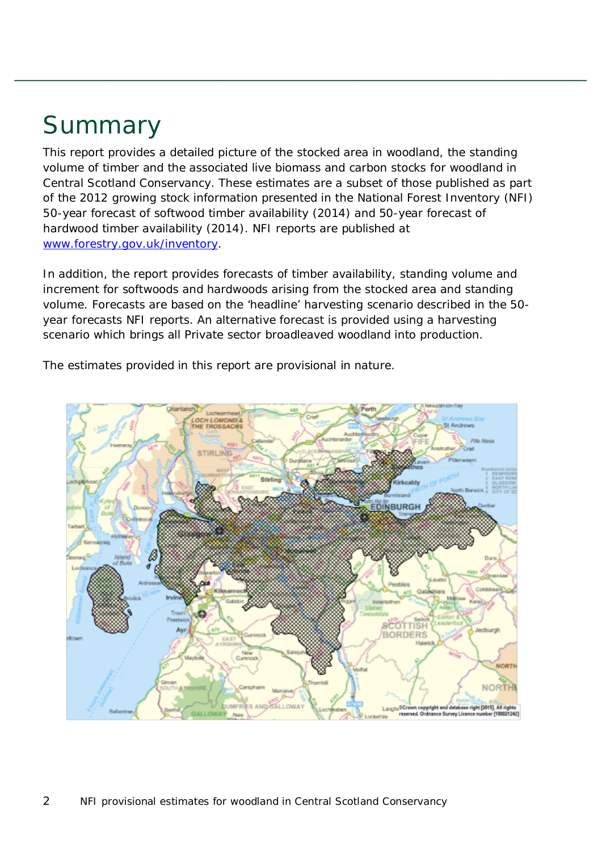## Summary

This report provides a detailed picture of the stocked area in woodland, the standing volume of timber and the associated live biomass and carbon stocks for woodland in Central Scotland Conservancy. These estimates are a subset of those published as part of the 2012 growing stock information presented in the National Forest Inventory (NFI) *50-year forecast of softwood timber availability* (2014) and *50-year forecast of hardwood timber availability* (2014). NFI reports are published at [www.forestry.gov.uk/inventory.](http://www.forestry.gov.uk/inventory)

In addition, the report provides forecasts of timber availability, standing volume and increment for softwoods and hardwoods arising from the stocked area and standing volume. Forecasts are based on the 'headline' harvesting scenario described in the 50 year forecasts NFI reports. An alternative forecast is provided using a harvesting scenario which brings all Private sector broadleaved woodland into production.

The estimates provided in this report are provisional in nature.

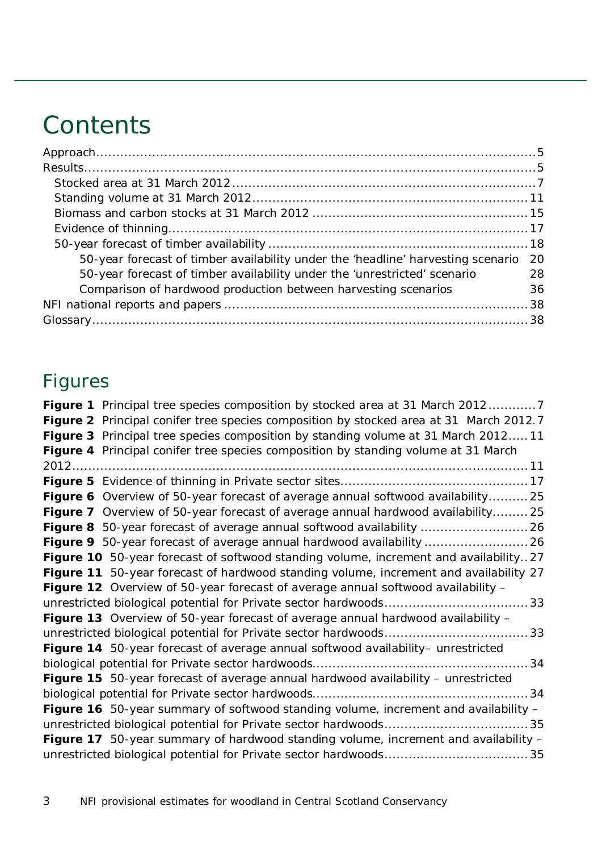## **Contents**

| 50-year forecast of timber availability under the 'headline' harvesting scenario 20 |    |
|-------------------------------------------------------------------------------------|----|
| 50-year forecast of timber availability under the 'unrestricted' scenario           | 28 |
| Comparison of hardwood production between harvesting scenarios                      | 36 |
|                                                                                     |    |
|                                                                                     |    |

## Figures

| <b>Figure 1</b> Principal tree species composition by stocked area at 31 March 20127   |
|----------------------------------------------------------------------------------------|
| Figure 2 Principal conifer tree species composition by stocked area at 31 March 2012.7 |
| Figure 3 Principal tree species composition by standing volume at 31 March 201211      |
| Figure 4 Principal conifer tree species composition by standing volume at 31 March     |
|                                                                                        |
|                                                                                        |
| Figure 6 Overview of 50-year forecast of average annual softwood availability 25       |
| Figure 7 Overview of 50-year forecast of average annual hardwood availability25        |
|                                                                                        |
| Figure 9 50-year forecast of average annual hardwood availability  26                  |
| Figure 10 50-year forecast of softwood standing volume, increment and availability27   |
| Figure 11 50-year forecast of hardwood standing volume, increment and availability 27  |
| Figure 12 Overview of 50-year forecast of average annual softwood availability -       |
|                                                                                        |
| Figure 13 Overview of 50-year forecast of average annual hardwood availability -       |
|                                                                                        |
| Figure 14 50-year forecast of average annual softwood availability- unrestricted       |
|                                                                                        |
| Figure 15 50-year forecast of average annual hardwood availability - unrestricted      |
|                                                                                        |
| Figure 16 50-year summary of softwood standing volume, increment and availability -    |
|                                                                                        |
| Figure 17 50-year summary of hardwood standing volume, increment and availability -    |
|                                                                                        |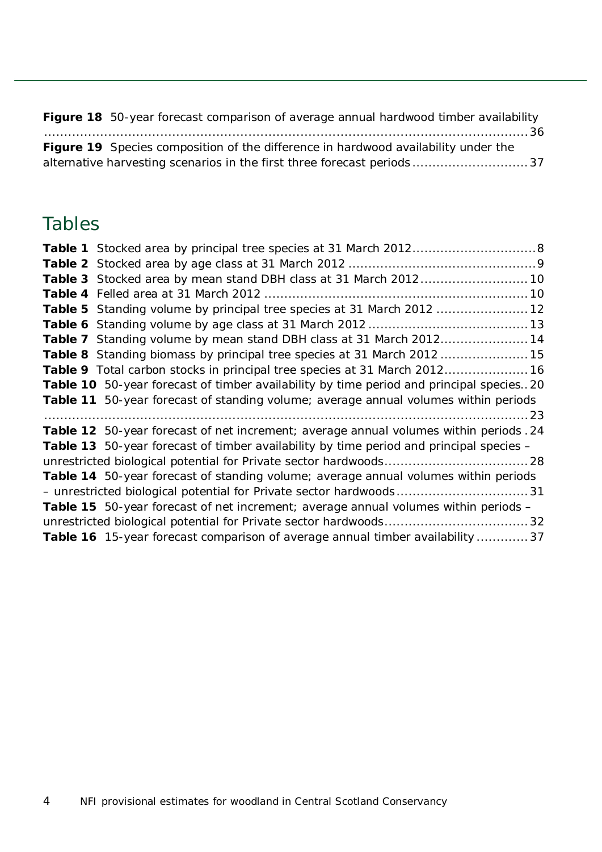| Figure 18 50-year forecast comparison of average annual hardwood timber availability      |  |
|-------------------------------------------------------------------------------------------|--|
|                                                                                           |  |
| <b>Figure 19</b> Species composition of the difference in hardwood availability under the |  |
|                                                                                           |  |

### Tables

| Table 3 Stocked area by mean stand DBH class at 31 March 2012 10                           |
|--------------------------------------------------------------------------------------------|
|                                                                                            |
| Table 5 Standing volume by principal tree species at 31 March 2012  12                     |
|                                                                                            |
| Table 7 Standing volume by mean stand DBH class at 31 March 201214                         |
| Table 8 Standing biomass by principal tree species at 31 March 2012  15                    |
| Table 9 Total carbon stocks in principal tree species at 31 March 2012 16                  |
| Table 10 50-year forecast of timber availability by time period and principal species20    |
| Table 11 50-year forecast of standing volume; average annual volumes within periods        |
|                                                                                            |
| Table 12 50-year forecast of net increment; average annual volumes within periods. 24      |
| Table 13 50-year forecast of timber availability by time period and principal species -    |
|                                                                                            |
| Table 14 50-year forecast of standing volume; average annual volumes within periods        |
| - unrestricted biological potential for Private sector hardwoods31                         |
| <b>Table 15</b> 50-year forecast of net increment; average annual volumes within periods - |
|                                                                                            |
| Table 16 15-year forecast comparison of average annual timber availability  37             |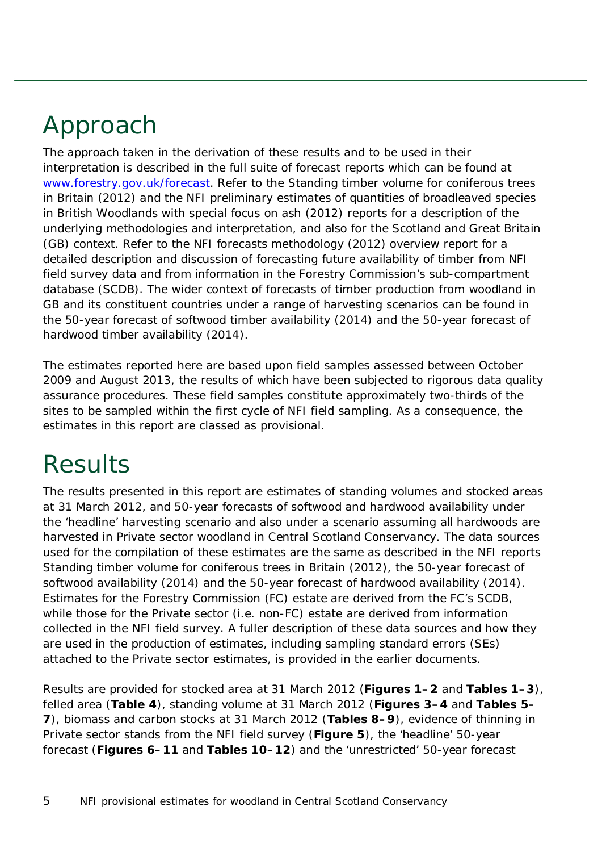## <span id="page-4-0"></span>Approach

The approach taken in the derivation of these results and to be used in their interpretation is described in the full suite of forecast reports which can be found at [www.forestry.gov.uk/forecast.](http://www.forestry.gov.uk/forecast) Refer to the *Standing timber volume for coniferous trees in Britain* (2012) and the *NFI preliminary estimates of quantities of broadleaved species in British Woodlands with special focus on ash* (2012) reports for a description of the underlying methodologies and interpretation, and also for the Scotland and Great Britain (GB) context. Refer to the *NFI forecasts methodology* (2012) overview report for a detailed description and discussion of forecasting future availability of timber from NFI field survey data and from information in the Forestry Commission's sub-compartment database (SCDB). The wider context of forecasts of timber production from woodland in GB and its constituent countries under a range of harvesting scenarios can be found in the *50-year forecast of softwood timber availability* (2014) and the *50-year forecast of hardwood timber availability* (2014).

The estimates reported here are based upon field samples assessed between October 2009 and August 2013, the results of which have been subjected to rigorous data quality assurance procedures. These field samples constitute approximately two-thirds of the sites to be sampled within the first cycle of NFI field sampling. As a consequence, the estimates in this report are classed as provisional.

## <span id="page-4-1"></span>**Results**

The results presented in this report are estimates of standing volumes and stocked areas at 31 March 2012, and 50-year forecasts of softwood and hardwood availability under the 'headline' harvesting scenario and also under a scenario assuming all hardwoods are harvested in Private sector woodland in Central Scotland Conservancy. The data sources used for the compilation of these estimates are the same as described in the NFI reports *Standing timber volume for coniferous trees in Britain* (2012), the *50-year forecast of softwood availability* (2014) and the *50-year forecast of hardwood availability* (2014). Estimates for the Forestry Commission (FC) estate are derived from the FC's SCDB, while those for the Private sector (i.e. non-FC) estate are derived from information collected in the NFI field survey. A fuller description of these data sources and how they are used in the production of estimates, including sampling standard errors (SEs) attached to the Private sector estimates, is provided in the earlier documents.

Results are provided for stocked area at 31 March 2012 (**Figures 1–2** and **Tables 1–3**), felled area (**Table 4**), standing volume at 31 March 2012 (**Figures 3–4** and **Tables 5– 7**), biomass and carbon stocks at 31 March 2012 (**Tables 8–9**), evidence of thinning in Private sector stands from the NFI field survey (**Figure 5**), the 'headline' 50-year forecast (**Figures 6–11** and **Tables 10–12**) and the 'unrestricted' 50-year forecast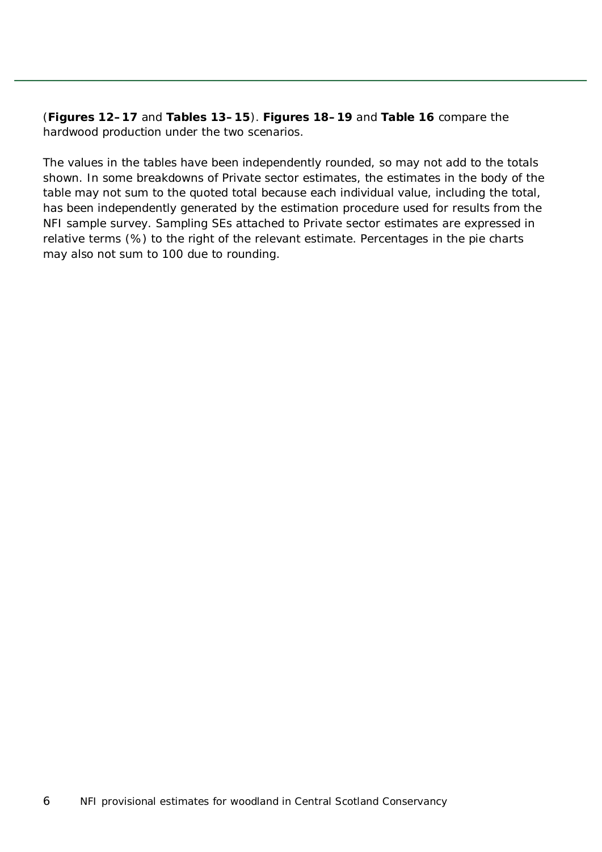(**Figures 12–17** and **Tables 13–15**). **Figures 18–19** and **Table 16** compare the hardwood production under the two scenarios.

The values in the tables have been independently rounded, so may not add to the totals shown. In some breakdowns of Private sector estimates, the estimates in the body of the table may not sum to the quoted total because each individual value, including the total, has been independently generated by the estimation procedure used for results from the NFI sample survey. Sampling SEs attached to Private sector estimates are expressed in relative terms (%) to the right of the relevant estimate. Percentages in the pie charts may also not sum to 100 due to rounding.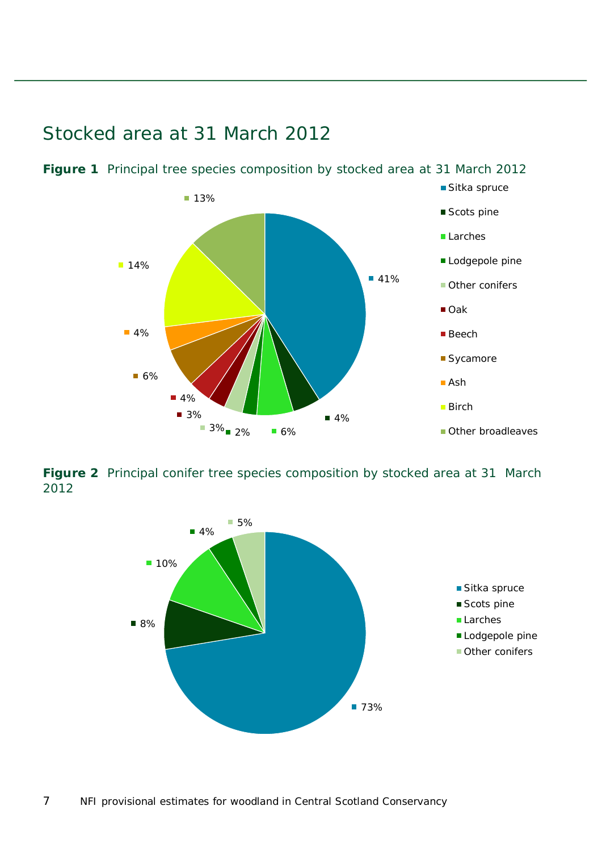

### <span id="page-6-0"></span>Stocked area at 31 March 2012

<span id="page-6-1"></span>**Figure 1** Principal tree species composition by stocked area at 31 March 2012

<span id="page-6-2"></span>**Figure 2** Principal conifer tree species composition by stocked area at 31 March 2012

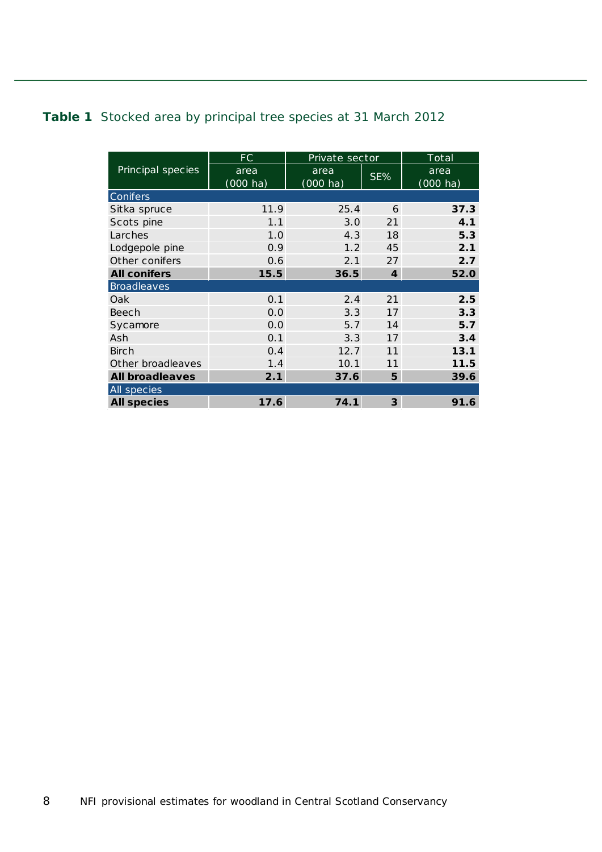#### <span id="page-7-0"></span>**Table 1** Stocked area by principal tree species at 31 March 2012

|                        | FC                 | Private sector     |                             | Total              |
|------------------------|--------------------|--------------------|-----------------------------|--------------------|
| Principal species      | area               | area               | SE%                         | area               |
|                        | $(000 \text{ ha})$ | $(000 \text{ ha})$ |                             | $(000 \text{ ha})$ |
| Conifers               |                    |                    |                             |                    |
| Sitka spruce           | 11.9               | 25.4               | 6                           | 37.3               |
| Scots pine             | 1.1                | 3.0                | 21                          | 4.1                |
| Larches                | 1.0                | 4.3                | 18                          | 5.3                |
| Lodgepole pine         | 0.9                | 1.2                | 45                          | 2.1                |
| Other conifers         | 0.6                | 2.1                | 27                          | 2.7                |
| <b>All conifers</b>    | 15.5               | 36.5               | $\overline{\boldsymbol{4}}$ | 52.0               |
| <b>Broadleaves</b>     |                    |                    |                             |                    |
| Oak                    | 0.1                | 2.4                | 21                          | 2.5                |
| Beech                  | 0.0                | 3.3                | 17                          | 3.3                |
| Sycamore               | 0.0                | 5.7                | 14                          | 5.7                |
| Ash                    | 0.1                | 3.3                | 17                          | 3.4                |
| <b>Birch</b>           | 0.4                | 12.7               | 11                          | 13.1               |
| Other broadleaves      | 1.4                | 10.1               | 11                          | 11.5               |
| <b>All broadleaves</b> | 2.1                | 37.6               | 5                           | 39.6               |
| All species            |                    |                    |                             |                    |
| <b>All species</b>     | 17.6               | 74.1               | 3                           | 91.6               |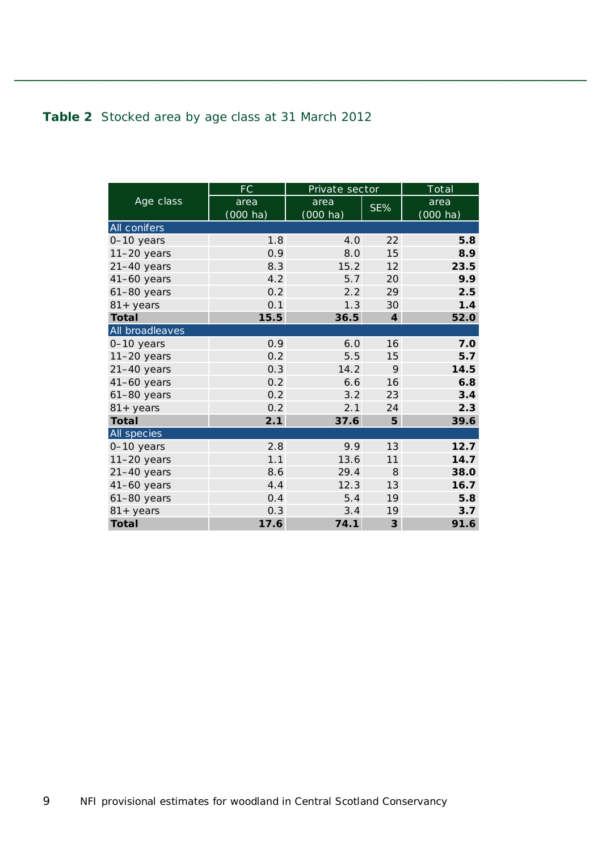#### <span id="page-8-0"></span>**Table 2** Stocked area by age class at 31 March 2012

|                     | FC                 | Private sector     |                  | Total              |
|---------------------|--------------------|--------------------|------------------|--------------------|
| Age class           | area               | area               | SE%              | area               |
|                     | $(000 \text{ ha})$ | $(000 \text{ ha})$ |                  | $(000 \text{ ha})$ |
| All conifers        |                    |                    |                  |                    |
| 0-10 years          | 1.8                | 4.0                | 22               | 5.8                |
| $11-20$ years       | 0.9                | 8.0                | 15               | 8.9                |
| $21-40$ years       | 8.3                | 15.2               | 12               | 23.5               |
| $41-60$ years       | 4.2                | 5.7                | 20               | 9.9                |
| $61-80$ years       | 0.2                | 2.2                | 29               | 2.5                |
| $81 + years$        | 0.1                | 1.3                | 30               | 1.4                |
| <b>Total</b>        | 15.5               | 36.5               | $\boldsymbol{4}$ | 52.0               |
| All broadleaves     |                    |                    |                  |                    |
| 0-10 years          | 0.9                | 6.0                | 16               | 7.0                |
| $11-20$ years       | 0.2                | 5.5                | 15               | 5.7                |
| 21-40 years         | 0.3                | 14.2               | 9                | 14.5               |
| $41-60$ years       | 0.2                | 6.6                | 16               | 6.8                |
| $61-80$ years       | 0.2                | 3.2                | 23               | 3.4                |
| $81 + \text{years}$ | 0.2                | 2.1                | 24               | 2.3                |
| <b>Total</b>        | 2.1                | 37.6               | 5                | 39.6               |
| All species         |                    |                    |                  |                    |
| 0-10 years          | 2.8                | 9.9                | 13               | 12.7               |
| $11-20$ years       | 1.1                | 13.6               | 11               | 14.7               |
| 21-40 years         | 8.6                | 29.4               | 8                | 38.0               |
| $41-60$ years       | 4.4                | 12.3               | 13               | 16.7               |
| $61-80$ years       | 0.4                | 5.4                | 19               | 5.8                |
| $81 + years$        | 0.3                | 3.4                | 19               | 3.7                |
| <b>Total</b>        | 17.6               | 74.1               | $\mathbf{3}$     | 91.6               |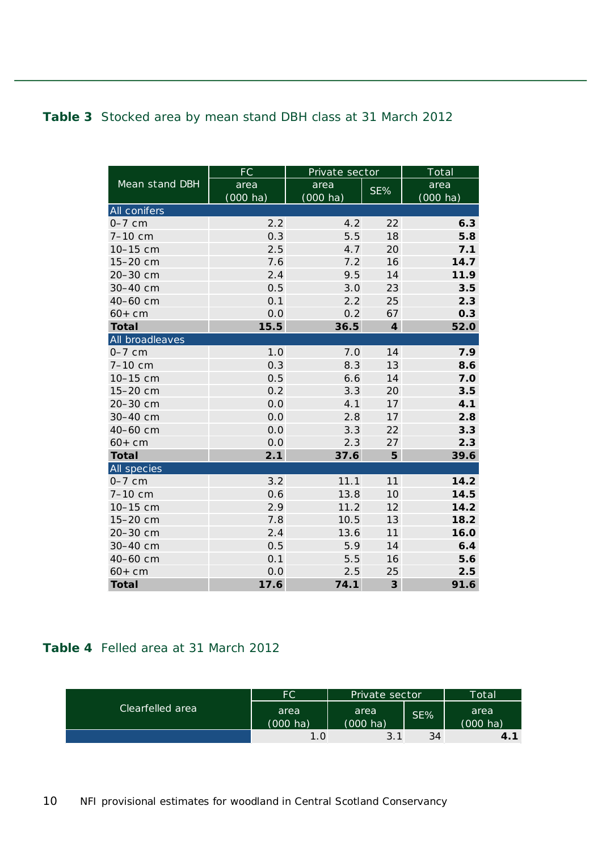#### <span id="page-9-0"></span>**Table 3** Stocked area by mean stand DBH class at 31 March 2012

|                 | <b>FC</b>  | Private sector     |                             | Total              |
|-----------------|------------|--------------------|-----------------------------|--------------------|
| Mean stand DBH  | area       | area               | SE%                         | area               |
|                 | $(000$ ha) | $(000 \text{ ha})$ |                             | $(000 \text{ ha})$ |
| All conifers    |            |                    |                             |                    |
| $0-7$ cm        | 2.2        | 4.2                | 22                          | 6.3                |
| 7-10 cm         | 0.3        | 5.5                | 18                          | 5.8                |
| 10-15 cm        | 2.5        | 4.7                | 20                          | 7.1                |
| 15-20 cm        | 7.6        | 7.2                | 16                          | 14.7               |
| 20-30 cm        | 2.4        | 9.5                | 14                          | 11.9               |
| 30-40 cm        | 0.5        | 3.0                | 23                          | 3.5                |
| 40-60 cm        | 0.1        | 2.2                | 25                          | 2.3                |
| $60 + cm$       | 0.0        | 0.2                | 67                          | 0.3                |
| <b>Total</b>    | 15.5       | 36.5               | $\overline{\boldsymbol{4}}$ | 52.0               |
| All broadleaves |            |                    |                             |                    |
| $0-7$ cm        | 1.0        | 7.0                | 14                          | 7.9                |
| 7-10 cm         | 0.3        | 8.3                | 13                          | 8.6                |
| 10-15 cm        | 0.5        | 6.6                | 14                          | 7.0                |
| 15-20 cm        | 0.2        | 3.3                | 20                          | 3.5                |
| 20-30 cm        | 0.0        | 4.1                | 17                          | 4.1                |
| 30-40 cm        | 0.0        | 2.8                | 17                          | 2.8                |
| 40-60 cm        | 0.0        | 3.3                | 22                          | 3.3                |
| $60 + cm$       | 0.0        | 2.3                | 27                          | 2.3                |
| <b>Total</b>    | 2.1        | 37.6               | 5                           | 39.6               |
| All species     |            |                    |                             |                    |
| $0-7$ cm        | 3.2        | 11.1               | 11                          | 14.2               |
| 7-10 cm         | 0.6        | 13.8               | 10                          | 14.5               |
| 10-15 cm        | 2.9        | 11.2               | 12                          | 14.2               |
| 15-20 cm        | 7.8        | 10.5               | 13                          | 18.2               |
| 20-30 cm        | 2.4        | 13.6               | 11                          | 16.0               |
| 30-40 cm        | 0.5        | 5.9                | 14                          | 6.4                |
| 40-60 cm        | 0.1        | 5.5                | 16                          | 5.6                |
| $60 + cm$       | 0.0        | 2.5                | 25                          | 2.5                |
| <b>Total</b>    | 17.6       | 74.1               | $\overline{\mathbf{3}}$     | 91.6               |

#### <span id="page-9-1"></span>**Table 4** Felled area at 31 March 2012

|                  | FC.                        | Private sector             |     | Total                      |
|------------------|----------------------------|----------------------------|-----|----------------------------|
| Clearfelled area | area<br>$(000 \text{ ha})$ | area<br>$(000 \text{ ha})$ | SE% | area<br>$(000 \text{ ha})$ |
|                  |                            |                            |     |                            |
|                  | 1.0                        | 3.1                        | 34  | 4.1                        |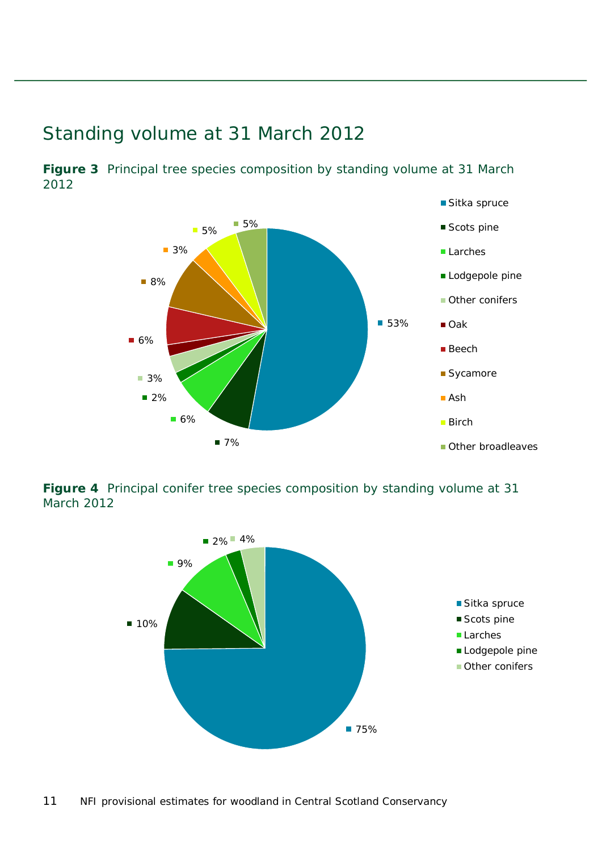### <span id="page-10-0"></span>Standing volume at 31 March 2012



<span id="page-10-1"></span>**Figure 3** Principal tree species composition by standing volume at 31 March 2012

<span id="page-10-2"></span>**Figure 4** Principal conifer tree species composition by standing volume at 31 March 2012

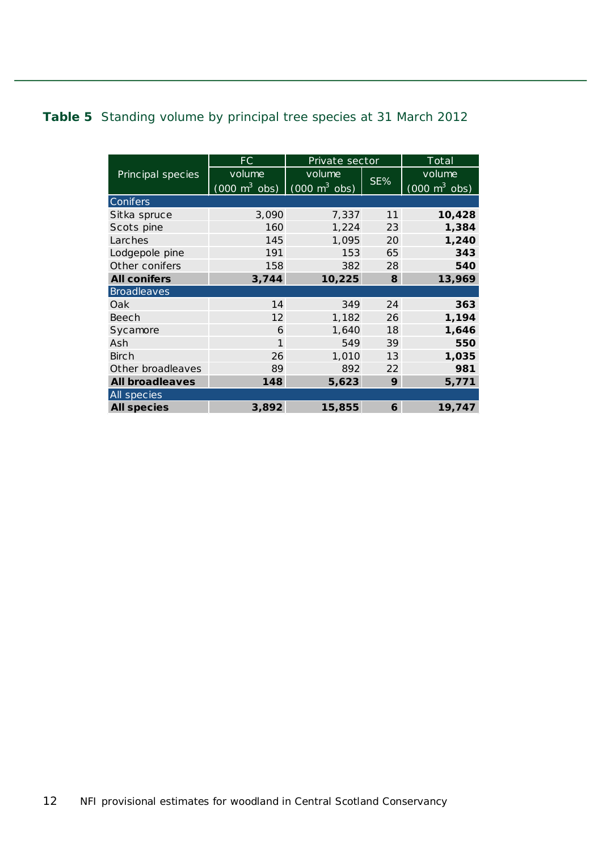#### <span id="page-11-0"></span>**Table 5** Standing volume by principal tree species at 31 March 2012

|                        | FC                                                              | Private sector |        | $\overline{\text{Total}}$       |
|------------------------|-----------------------------------------------------------------|----------------|--------|---------------------------------|
| Principal species      | volume                                                          | volume         |        | volume                          |
|                        | $(000 \text{ m}^3 \text{ obs})$ $(000 \text{ m}^3 \text{ obs})$ |                | $SE\%$ | $(000 \text{ m}^3 \text{ obs})$ |
| Conifers               |                                                                 |                |        |                                 |
| Sitka spruce           | 3,090                                                           | 7,337          | 11     | 10,428                          |
| Scots pine             | 160                                                             | 1,224          | 23     | 1,384                           |
| Larches                | 145                                                             | 1,095          | 20     | 1,240                           |
| Lodgepole pine         | 191                                                             | 153            | 65     | 343                             |
| Other conifers         | 158                                                             | 382            | 28     | 540                             |
| <b>All conifers</b>    | 3,744                                                           | 10,225         | 8      | 13,969                          |
| <b>Broadleaves</b>     |                                                                 |                |        |                                 |
| Oak                    | 14                                                              | 349            | 24     | 363                             |
| Beech                  | 12                                                              | 1,182          | 26     | 1,194                           |
| Sycamore               | 6                                                               | 1,640          | 18     | 1,646                           |
| Ash                    | 1                                                               | 549            | 39     | 550                             |
| <b>Birch</b>           | 26                                                              | 1,010          | 13     | 1,035                           |
| Other broadleaves      | 89                                                              | 892            | 22     | 981                             |
| <b>All broadleaves</b> | 148                                                             | 5,623          | 9      | 5,771                           |
| All species            |                                                                 |                |        |                                 |
| <b>All species</b>     | 3,892                                                           | 15,855         | 6      | 19,747                          |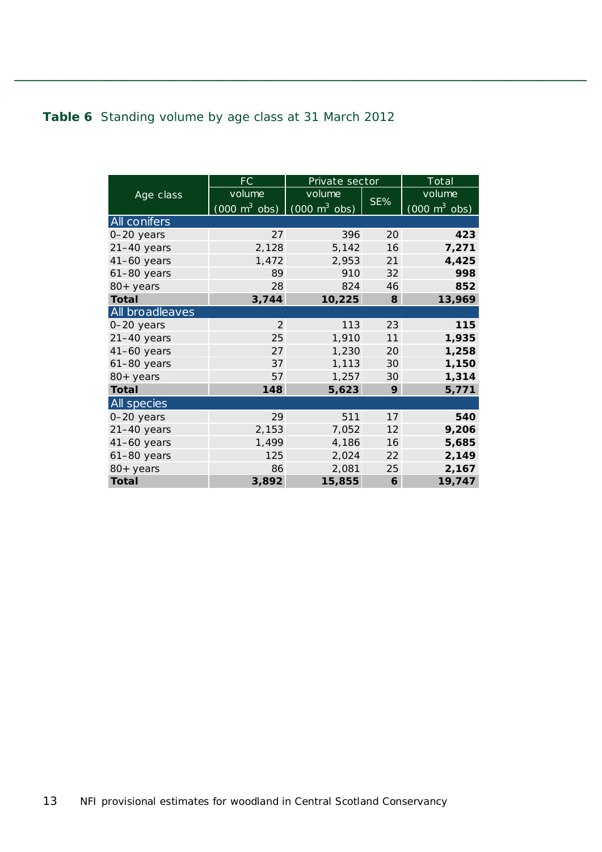#### <span id="page-12-0"></span>**Table 6** Standing volume by age class at 31 March 2012

|                    | FC                                                              | Private sector |     | <b>Total</b>                    |
|--------------------|-----------------------------------------------------------------|----------------|-----|---------------------------------|
| Age class          | volume                                                          | volume         |     | volume                          |
|                    | $(000 \text{ m}^3 \text{ obs})$ $(000 \text{ m}^3 \text{ obs})$ |                | SE% | $(000 \text{ m}^3 \text{ obs})$ |
| All conifers       |                                                                 |                |     |                                 |
| 0-20 years         | 27                                                              | 396            | 20  | 423                             |
| $21-40$ years      | 2,128                                                           | 5,142          | 16  | 7,271                           |
| 41-60 years        | 1,472                                                           | 2,953          | 21  | 4,425                           |
| $61-80$ years      | 89                                                              | 910            | 32  | 998                             |
| 80+ years          | 28                                                              | 824            | 46  | 852                             |
| Total              | 3,744                                                           | 10,225         | 8   | 13,969                          |
| All broadleaves    |                                                                 |                |     |                                 |
| 0-20 years         | 2                                                               | 113            | 23  | 115                             |
| $21-40$ years      | 25                                                              | 1,910          | 11  | 1,935                           |
| 41-60 years        | 27                                                              | 1,230          | 20  | 1,258                           |
| $61-80$ years      | 37                                                              | 1,113          | 30  | 1,150                           |
| 80+ years          | 57                                                              | 1,257          | 30  | 1,314                           |
| <b>Total</b>       | 148                                                             | 5,623          | 9   | 5,771                           |
| <b>All</b> species |                                                                 |                |     |                                 |
| 0-20 years         | 29                                                              | 511            | 17  | 540                             |
| $21-40$ years      | 2,153                                                           | 7,052          | 12  | 9,206                           |
| 41-60 years        | 1,499                                                           | 4,186          | 16  | 5,685                           |
| $61-80$ years      | 125                                                             | 2,024          | 22  | 2,149                           |
| 80+ years          | 86                                                              | 2,081          | 25  | 2,167                           |
| <b>Total</b>       | 3,892                                                           | 15,855         | 6   | 19,747                          |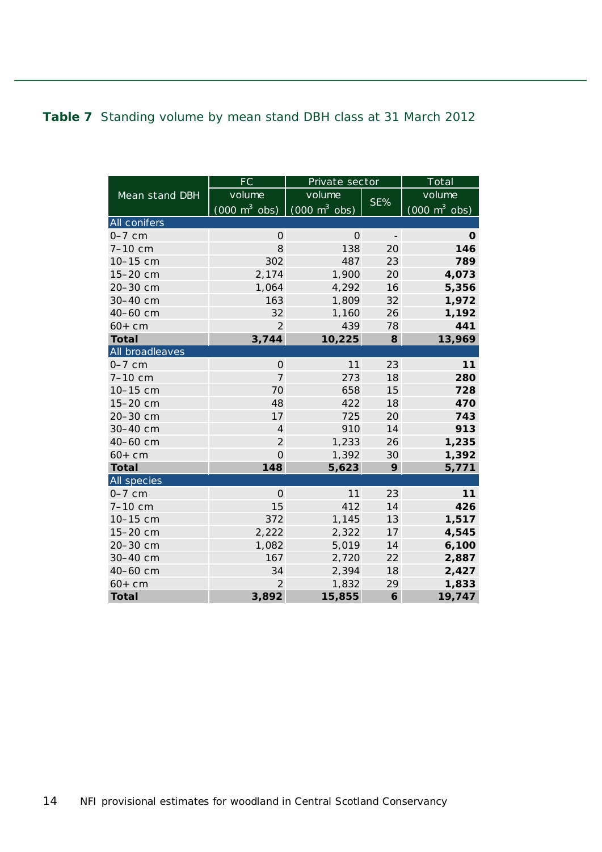#### <span id="page-13-0"></span>**Table 7** Standing volume by mean stand DBH class at 31 March 2012

|                 | FC                               | Private sector                  |                          | Total                           |
|-----------------|----------------------------------|---------------------------------|--------------------------|---------------------------------|
| Mean stand DBH  | volume                           | volume                          |                          | volume                          |
|                 | $(0.00 \text{ m}^3 \text{ obs})$ | $(000 \text{ m}^3 \text{ obs})$ | SE%                      | $(000 \text{ m}^3 \text{ obs})$ |
| All conifers    |                                  |                                 |                          |                                 |
| $0-7$ cm        | $\mathbf{O}$                     | $\mathbf{O}$                    | $\overline{\phantom{a}}$ | $\Omega$                        |
| 7-10 cm         | 8                                | 138                             | 20                       | 146                             |
| 10-15 cm        | 302                              | 487                             | 23                       | 789                             |
| 15-20 cm        | 2,174                            | 1,900                           | 20                       | 4,073                           |
| 20-30 cm        | 1,064                            | 4,292                           | 16                       | 5,356                           |
| 30-40 cm        | 163                              | 1,809                           | 32                       | 1,972                           |
| 40-60 cm        | 32                               | 1,160                           | 26                       | 1,192                           |
| $60+cm$         | $\overline{2}$                   | 439                             | 78                       | 441                             |
| <b>Total</b>    | 3,744                            | 10,225                          | 8                        | 13,969                          |
| All broadleaves |                                  |                                 |                          |                                 |
| $0-7$ cm        | $\Omega$                         | 11                              | 23                       | 11                              |
| 7-10 cm         | $\overline{7}$                   | 273                             | 18                       | 280                             |
| 10-15 cm        | 70                               | 658                             | 15                       | 728                             |
| 15-20 cm        | 48                               | 422                             | 18                       | 470                             |
| 20-30 cm        | 17                               | 725                             | 20                       | 743                             |
| 30-40 cm        | $\overline{4}$                   | 910                             | 14                       | 913                             |
| 40-60 cm        | $\overline{2}$                   | 1,233                           | 26                       | 1,235                           |
| $60+cm$         | $\overline{O}$                   | 1,392                           | 30                       | 1,392                           |
| <b>Total</b>    | 148                              | 5,623                           | 9                        | 5,771                           |
| All species     |                                  |                                 |                          |                                 |
| $0-7$ cm        | $\overline{0}$                   | 11                              | 23                       | 11                              |
| 7-10 cm         | 15                               | 412                             | 14                       | 426                             |
| 10-15 cm        | 372                              | 1,145                           | 13                       | 1,517                           |
| 15-20 cm        | 2,222                            | 2,322                           | 17                       | 4,545                           |
| 20-30 cm        | 1,082                            | 5,019                           | 14                       | 6,100                           |
| 30-40 cm        | 167                              | 2,720                           | 22                       | 2,887                           |
| 40-60 cm        | 34                               | 2,394                           | 18                       | 2,427                           |
| $60 + cm$       | $\overline{2}$                   | 1,832                           | 29                       | 1,833                           |
| <b>Total</b>    | 3,892                            | 15,855                          | 6                        | 19,747                          |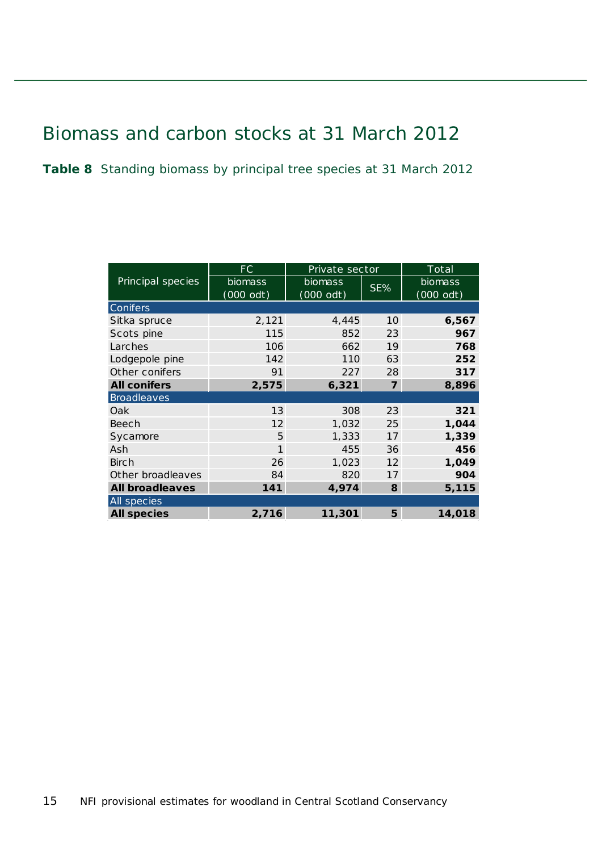## <span id="page-14-0"></span>Biomass and carbon stocks at 31 March 2012

<span id="page-14-1"></span>**Table 8** Standing biomass by principal tree species at 31 March 2012

|                        | FC                   | Private sector              |                | Total                  |
|------------------------|----------------------|-----------------------------|----------------|------------------------|
| Principal species      | biomass<br>(000 odt) | <b>biomass</b><br>(000 odt) | SE%            | biomass<br>$(000$ odt) |
| <b>Conifers</b>        |                      |                             |                |                        |
| Sitka spruce           | 2,121                | 4,445                       | 10             | 6,567                  |
| Scots pine             | 115                  | 852                         | 23             | 967                    |
| Larches                | 106                  | 662                         | 19             | 768                    |
| Lodgepole pine         | 142                  | 110                         | 63             | 252                    |
| Other conifers         | 91                   | 227                         | 28             | 317                    |
| <b>All conifers</b>    | 2,575                | 6,321                       | $\overline{z}$ | 8,896                  |
| <b>Broadleaves</b>     |                      |                             |                |                        |
| Oak                    | 13                   | 308                         | 23             | 321                    |
| Beech                  | 12                   | 1,032                       | 25             | 1,044                  |
| Sycamore               | 5                    | 1,333                       | 17             | 1,339                  |
| Ash                    | 1                    | 455                         | 36             | 456                    |
| <b>Birch</b>           | 26                   | 1,023                       | 12             | 1,049                  |
| Other broadleaves      | 84                   | 820                         | 17             | 904                    |
| <b>All broadleaves</b> | 141                  | 4,974                       | 8              | 5,115                  |
| All species            |                      |                             |                |                        |
| <b>All species</b>     | 2,716                | 11,301                      | 5              | 14,018                 |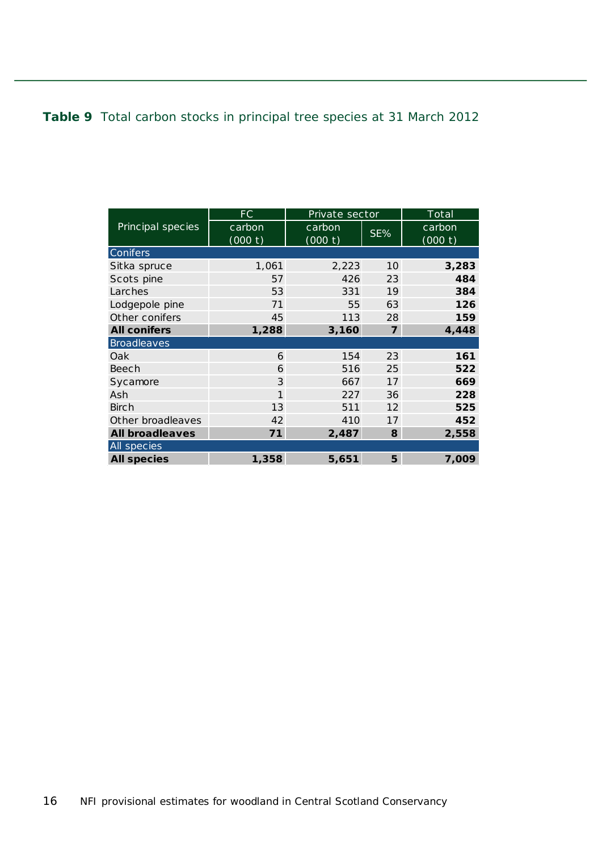#### <span id="page-15-0"></span>**Table 9** Total carbon stocks in principal tree species at 31 March 2012

|                        | FC      | Private sector |                | Total   |
|------------------------|---------|----------------|----------------|---------|
| Principal species      | carbon  | carbon         | SE%            | carbon  |
|                        | (000 t) | (000 t)        |                | (000 t) |
| <b>Conifers</b>        |         |                |                |         |
| Sitka spruce           | 1,061   | 2,223          | 10             | 3,283   |
| Scots pine             | 57      | 426            | 23             | 484     |
| Larches                | 53      | 331            | 19             | 384     |
| Lodgepole pine         | 71      | 55             | 63             | 126     |
| Other conifers         | 45      | 113            | 28             | 159     |
| <b>All conifers</b>    | 1,288   | 3,160          | $\overline{z}$ | 4,448   |
| <b>Broadleaves</b>     |         |                |                |         |
| Oak                    | 6       | 154            | 23             | 161     |
| Beech                  | 6       | 516            | 25             | 522     |
| Sycamore               | 3       | 667            | 17             | 669     |
| Ash                    | 1       | 227            | 36             | 228     |
| Birch                  | 13      | 511            | 12             | 525     |
| Other broadleaves      | 42      | 410            | 17             | 452     |
| <b>All broadleaves</b> | 71      | 2,487          | 8              | 2,558   |
| All species            |         |                |                |         |
| <b>All species</b>     | 1,358   | 5,651          | 5              | 7,009   |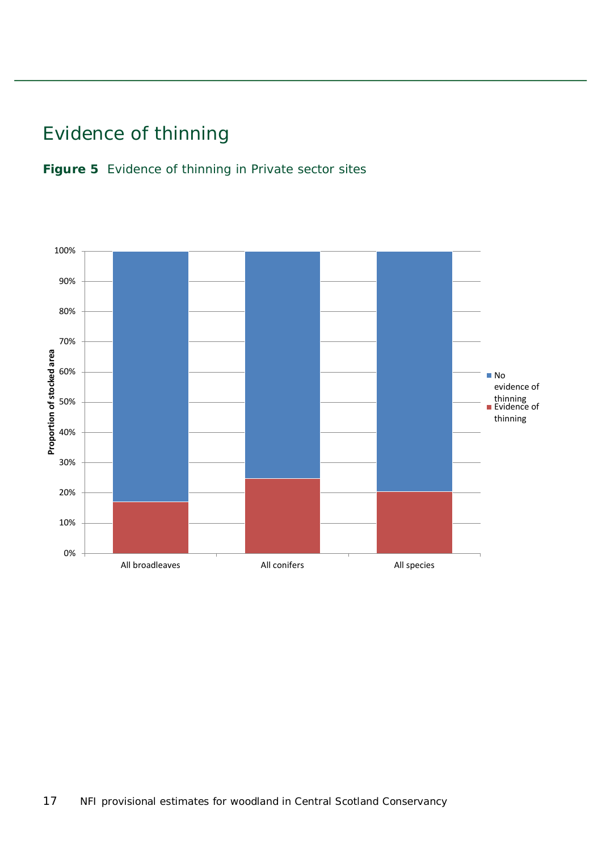## <span id="page-16-0"></span>Evidence of thinning

<span id="page-16-1"></span>

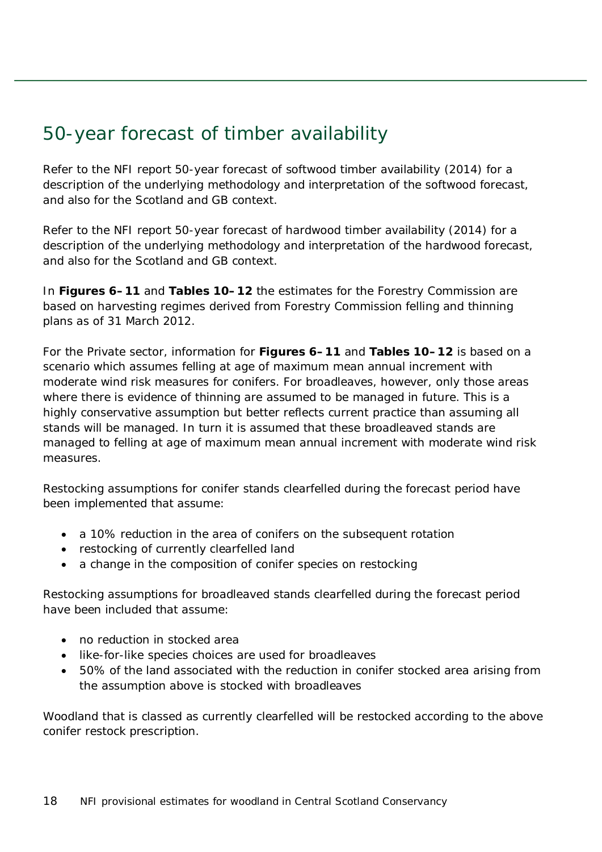### <span id="page-17-0"></span>50-year forecast of timber availability

Refer to the NFI report *50-year forecast of softwood timber availability* (2014) for a description of the underlying methodology and interpretation of the softwood forecast, and also for the Scotland and GB context.

Refer to the NFI report *50-year forecast of hardwood timber availability* (2014) for a description of the underlying methodology and interpretation of the hardwood forecast, and also for the Scotland and GB context.

In **Figures 6–11** and **Tables 10–12** the estimates for the Forestry Commission are based on harvesting regimes derived from Forestry Commission felling and thinning plans as of 31 March 2012.

For the Private sector, information for **Figures 6–11** and **Tables 10–12** is based on a scenario which assumes felling at age of maximum mean annual increment with moderate wind risk measures for conifers. For broadleaves, however, only those areas where there is evidence of thinning are assumed to be managed in future. This is a highly conservative assumption but better reflects current practice than assuming all stands will be managed. In turn it is assumed that these broadleaved stands are managed to felling at age of maximum mean annual increment with moderate wind risk measures.

Restocking assumptions for conifer stands clearfelled during the forecast period have been implemented that assume:

- a 10% reduction in the area of conifers on the subsequent rotation
- restocking of currently clearfelled land
- a change in the composition of conifer species on restocking

Restocking assumptions for broadleaved stands clearfelled during the forecast period have been included that assume:

- no reduction in stocked area
- like-for-like species choices are used for broadleaves
- 50% of the land associated with the reduction in conifer stocked area arising from the assumption above is stocked with broadleaves

Woodland that is classed as currently clearfelled will be restocked according to the above conifer restock prescription.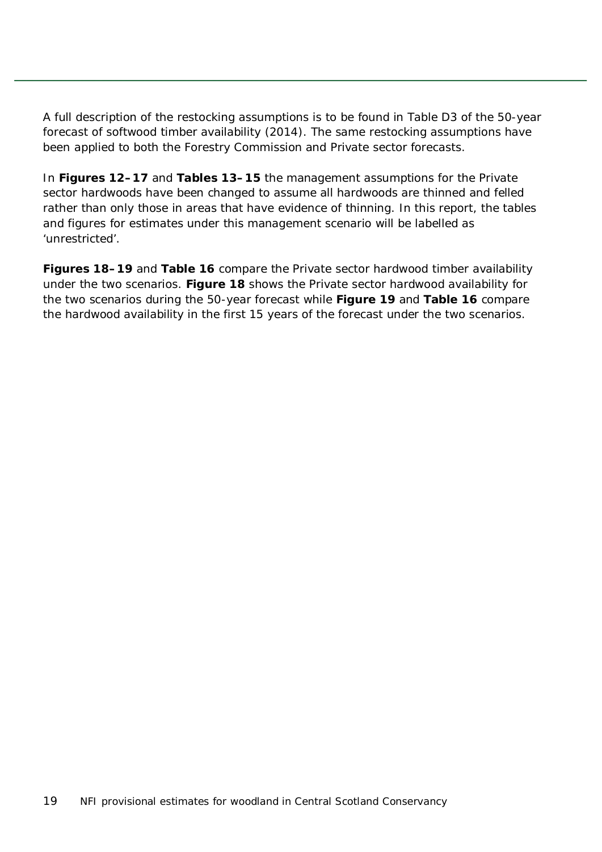A full description of the restocking assumptions is to be found in Table D3 of the *50-year forecast of softwood timber availability* (2014). The same restocking assumptions have been applied to both the Forestry Commission and Private sector forecasts.

In **Figures 12–17** and **Tables 13–15** the management assumptions for the Private sector hardwoods have been changed to assume all hardwoods are thinned and felled rather than only those in areas that have evidence of thinning. In this report, the tables and figures for estimates under this management scenario will be labelled as 'unrestricted'.

**Figures 18–19** and **Table 16** compare the Private sector hardwood timber availability under the two scenarios. **Figure 18** shows the Private sector hardwood availability for the two scenarios during the 50-year forecast while **Figure 19** and **Table 16** compare the hardwood availability in the first 15 years of the forecast under the two scenarios.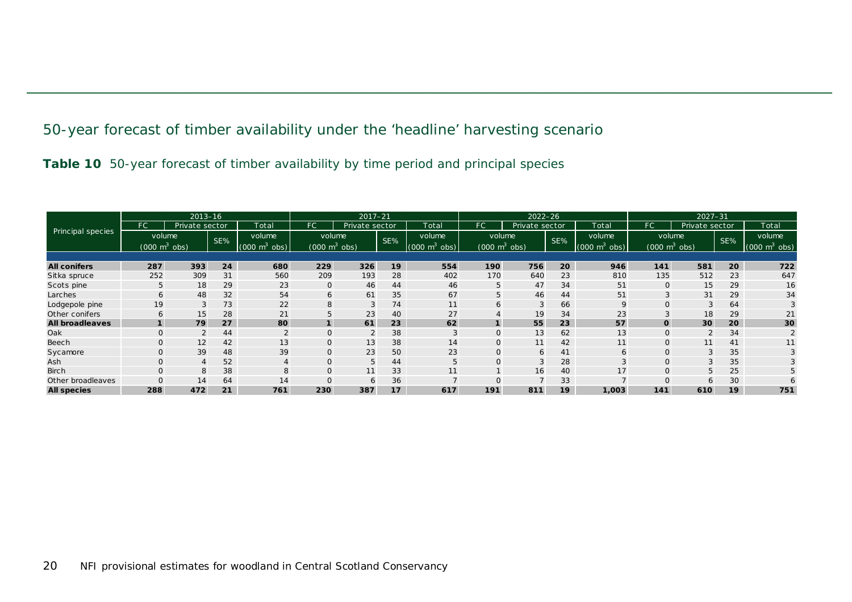50-year forecast of timber availability under the 'headline' harvesting scenario

**Table 10** 50-year forecast of timber availability by time period and principal species

<span id="page-19-1"></span><span id="page-19-0"></span>

| $2013 - 16$            |                                 |                 |     |                             | $2017 - 21$                     |                |     |                                 | $2022 - 26$                     |                |     |                                 | $2027 - 31$                     |                |     |                                 |
|------------------------|---------------------------------|-----------------|-----|-----------------------------|---------------------------------|----------------|-----|---------------------------------|---------------------------------|----------------|-----|---------------------------------|---------------------------------|----------------|-----|---------------------------------|
|                        | FC                              | Private sector  |     | Total                       | <b>FC</b>                       | Private sector |     | Total                           | FC                              | Private sector |     | Total                           | FC'                             | Private sector |     | Total                           |
| Principal species      | volume                          |                 | SE% | volume                      | volume                          |                | SE% | volume                          | volume                          |                | SE% | volume                          | volume                          |                | SE% | volume                          |
|                        | $(000 \text{ m}^3 \text{ obs})$ |                 |     | $(000 \text{ m}^3)$<br>obs) | $(000 \text{ m}^3 \text{ obs})$ |                |     | $(000 \text{ m}^3 \text{ obs})$ | $(000 \text{ m}^3 \text{ obs})$ |                |     | $(000 \text{ m}^3 \text{ obs})$ | $(000 \text{ m}^3 \text{ obs})$ |                |     | $(000 \text{ m}^3 \text{ obs})$ |
|                        |                                 |                 |     |                             |                                 |                |     |                                 |                                 |                |     |                                 |                                 |                |     |                                 |
| <b>All conifers</b>    | 287                             | 393             | 24  | 680                         | 229                             | 326            | 19  | 554                             | 190                             | 756            | 20  | 946                             | 141                             | 581            | 20  | 722                             |
| Sitka spruce           | 252                             | 309             | 31  | 560                         | 209                             | 193            | 28  | 402                             | 170                             | 640            | 23  | 810                             | 135                             | 512            | 23  | 647                             |
| Scots pine             | 5                               | 18              | 29  | 23                          | $\mathbf 0$                     | 46             | 44  | 46                              | 5                               | 47             | 34  | 51                              | $\mathbf{0}$                    | 15             | 29  | 16                              |
| Larches                | 6                               | 48              | 32  | 54                          | 6                               | 61             | 35  | 67                              | 5                               | 46             | 44  | 51                              | 3                               | 31             | 29  | 34                              |
| Lodgepole pine         | 19                              | 3               | 73  | 22                          | 8                               | 3              | 74  | 11                              | 6                               | 3              | 66  | 9                               | $\mathbf{O}$                    | 3              | 64  |                                 |
| Other conifers         | 6                               | 15 <sub>1</sub> | 28  | 21                          | 5                               | 23             | 40  | 27                              |                                 | 19             | 34  | 23                              |                                 | 18             | 29  | 21                              |
| <b>All broadleaves</b> |                                 | 79              | 27  | 80                          | $\mathbf{1}$                    | 61             | 23  | 62                              |                                 | 55             | 23  | 57                              | $\mathbf{o}$                    | 30             | 20  | 30                              |
| Oak                    |                                 |                 | 44  |                             | $\mathbf 0$                     | 2              | 38  | 3                               | 0                               | 13             | 62  | 13                              | 0                               | $\overline{2}$ | 34  |                                 |
| Beech                  |                                 | 12              | 42  | 13                          | $\mathsf{O}$                    | 13             | 38  | 14                              | O                               | 11             | 42  | 11                              | $\mathbf{O}$                    | 11             | 41  | 11                              |
| Sycamore               |                                 | 39              | 48  | 39                          | $\mathsf{O}$                    | 23             | 50  | 23                              | 0                               | 6              | 41  | 6                               | $\mathbf{O}$                    | 3              | 35  |                                 |
| Ash                    |                                 |                 | 52  |                             | $\mathsf{O}$                    | 5              | 44  | 5                               | $\mathbf{O}$                    | 3              | 28  |                                 | $\mathbf{O}$                    | 3              | 35  |                                 |
| <b>Birch</b>           |                                 | 8               | 38  | 8                           | $\mathbf 0$                     | 11             | 33  | 11                              |                                 | 16             | 40  | 17                              | $\mathbf{O}$                    | 5              | 25  | 5                               |
| Other broadleaves      |                                 | 14              | 64  | 14                          | $\mathbf 0$                     | 6              | 36  |                                 |                                 |                | 33  |                                 |                                 |                | 30  | 6                               |
| <b>All species</b>     | 288                             | 472             | 21  | 761                         | 230                             | 387            | 17  | 617                             | 191                             | 811            | 19  | 1,003                           | 141                             | 610            | 19  | 751                             |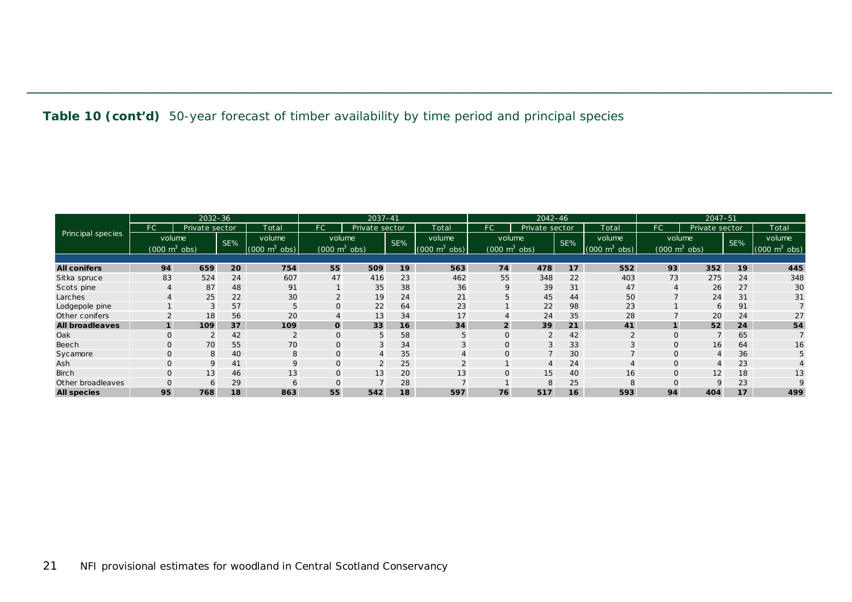**Table 10 (cont'd)** 50-year forecast of timber availability by time period and principal species

|                          | $2032 - 36$                     |                |     |                                 | 2037-41                         |                 |     |                             | $2042 - 46$                     |                |     |                                 | $2047 - 51$  |                                 |     |                                 |
|--------------------------|---------------------------------|----------------|-----|---------------------------------|---------------------------------|-----------------|-----|-----------------------------|---------------------------------|----------------|-----|---------------------------------|--------------|---------------------------------|-----|---------------------------------|
|                          | FC                              | Private sector |     | Total                           | FC.                             | Private sector  |     | Total                       | FC.                             | Private sector |     | Total                           | FC.          | Private sector                  |     | Total                           |
| <b>Principal species</b> | volume                          |                | SE% | volume                          | volume                          |                 | SE% | volume                      | volume                          |                | SE% | volume                          |              | volume                          | SE% | volume                          |
|                          | $(000 \text{ m}^3 \text{ obs})$ |                |     | $\mathsf{m}^3$<br>(000)<br>obs) | $(000 \text{ m}^3 \text{ obs})$ |                 |     | $(000 \text{ m}^3)$<br>obs) | $(000 \text{ m}^3 \text{ obs})$ |                |     | (000)<br>obs)<br>m <sup>2</sup> |              | $(000 \text{ m}^3 \text{ obs})$ |     | $(000 \text{ m}^3 \text{ obs})$ |
|                          |                                 |                |     |                                 |                                 |                 |     |                             |                                 |                |     |                                 |              |                                 |     |                                 |
| <b>All conifers</b>      | 94                              | 659            | 20  | 754                             | 55                              | 509             | 19  | 563                         | 74                              | 478            | 17  | 552                             | 93           | 352                             | 19  | 445                             |
| Sitka spruce             | 83                              | 524            | 24  | 607                             | 47                              | 416             | 23  | 462                         | 55                              | 348            | 22  | 403                             | 73           | 275                             | 24  | 348                             |
| Scots pine               |                                 | 87             | 48  | 91                              |                                 | 35              | 38  | 36                          | 9                               | 39             | 31  | 47                              |              | 26                              | 27  | 30                              |
| Larches                  |                                 | 25             | 22  | 30                              | $\overline{2}$                  | 19              | 24  | 21                          | 5                               | 45             | 44  | 50                              |              | 24                              | 31  | 31                              |
| Lodgepole pine           |                                 | 3              | 57  | 5                               | $\mathsf{O}$                    | 22              | 64  | 23                          |                                 | 22             | 98  | 23                              |              | 6                               | 91  |                                 |
| Other conifers           |                                 | 18             | 56  | 20                              |                                 | 13              | 34  | 17                          |                                 | 24             | 35  | 28                              |              | 20                              | 24  | 27                              |
| <b>All broadleaves</b>   |                                 | 109            | 37  | 109                             | $\mathbf{o}$                    | 33              | 16  | 34                          | $\overline{2}$                  | 39             | 21  | 41                              |              | 52                              | 24  | 54                              |
| Oak                      |                                 |                | 42  |                                 | $\overline{0}$                  | 5               | 58  | 5                           |                                 | 2              | 42  |                                 | $\Omega$     |                                 | 65  |                                 |
| Beech                    |                                 | 70             | 55  | 70                              |                                 | 3               | 34  | 3                           |                                 | 3              | 33  |                                 | $\Omega$     | 16                              | 64  | 16                              |
| Sycamore                 |                                 | 8              | 40  | 8                               | $\mathbf{O}$                    | $\overline{4}$  | 35  |                             |                                 |                | 30  |                                 |              | 4                               | 36  |                                 |
| Ash                      |                                 | $\mathsf Q$    | 41  | $\Omega$                        | $\mathbf{O}$                    | $\overline{2}$  | 25  | $\mathcal{D}$               |                                 |                | 24  |                                 | $\Omega$     |                                 | 23  |                                 |
| <b>Birch</b>             |                                 | 13             | 46  | 13                              | $\mathsf{O}$                    | 13 <sup>1</sup> | 20  | 13                          |                                 | 15             | 40  | 16                              | $\mathbf{O}$ | 12                              | 18  | 13                              |
| Other broadleaves        |                                 | 6              | 29  |                                 |                                 |                 | 28  |                             |                                 | 8              | 25  |                                 |              |                                 | 23  | 9                               |
| <b>All species</b>       | 95                              | 768            | 18  | 863                             | 55                              | 542             | 18  | 597                         | 76                              | 517            | 16  | 593                             | 94           | 404                             | 17  | 499                             |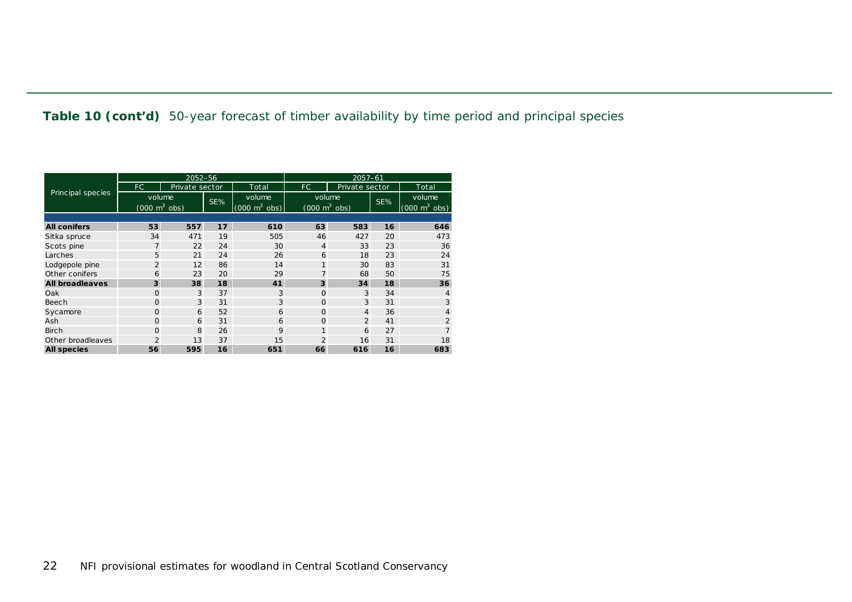**Table 10 (cont'd)** 50-year forecast of timber availability by time period and principal species

|                        |                                 | 2052-56        |     |                                 | $2057 - 61$                     |                |     |                                 |  |  |  |  |
|------------------------|---------------------------------|----------------|-----|---------------------------------|---------------------------------|----------------|-----|---------------------------------|--|--|--|--|
|                        | FC.                             | Private sector |     | Total                           | FC.                             | Private sector |     | Total                           |  |  |  |  |
| Principal species      | volume                          |                | SE% | volume                          | volume                          |                | SE% | volume                          |  |  |  |  |
|                        | $(000 \text{ m}^3 \text{ obs})$ |                |     | $(000 \text{ m}^3 \text{ obs})$ | $(000 \text{ m}^3 \text{ obs})$ |                |     | $(000 \text{ m}^3 \text{ obs})$ |  |  |  |  |
|                        |                                 |                |     |                                 |                                 |                |     |                                 |  |  |  |  |
| <b>All conifers</b>    | 53                              | 557            | 17  | 610                             | 63                              | 583            | 16  | 646                             |  |  |  |  |
| Sitka spruce           | 34                              | 471            | 19  | 505                             | 46                              | 427            | 20  | 473                             |  |  |  |  |
| Scots pine             | $\overline{7}$                  | 22             | 24  | 30                              | 4                               | 33             | 23  | 36                              |  |  |  |  |
| Larches                | 5                               | 21             | 24  | 26                              | 6                               | 18             | 23  | 24                              |  |  |  |  |
| Lodgepole pine         | 2                               | 12             | 86  | 14                              | $\mathbf{1}$                    | 30             | 83  | 31                              |  |  |  |  |
| Other conifers         | 6                               | 23             | 20  | 29                              | $\overline{7}$                  | 68             | 50  | 75                              |  |  |  |  |
| <b>All broadleaves</b> | 3                               | 38             | 18  | 41                              | 3                               | 34             | 18  | 36                              |  |  |  |  |
| Oak                    | $\circ$                         | 3              | 37  | 3                               | $\Omega$                        | 3              | 34  |                                 |  |  |  |  |
| Beech                  | $\circ$                         | 3              | 31  | 3                               | $\Omega$                        | 3              | 31  | 3                               |  |  |  |  |
| Sycamore               | $\Omega$                        | 6              | 52  | 6                               | $\Omega$                        | $\overline{4}$ | 36  |                                 |  |  |  |  |
| Ash                    | $\circ$                         | 6              | 31  | 6                               | $\Omega$                        | $\overline{2}$ | 41  | $\overline{2}$                  |  |  |  |  |
| <b>Birch</b>           | $\circ$                         | 8              | 26  | 9                               | 1                               | 6              | 27  |                                 |  |  |  |  |
| Other broadleaves      | $\overline{2}$                  | 13             | 37  | 15                              | $\overline{2}$                  | 16             | 31  | 18                              |  |  |  |  |
| <b>All species</b>     | 56                              | 595            | 16  | 651                             | 66                              | 616            | 16  | 683                             |  |  |  |  |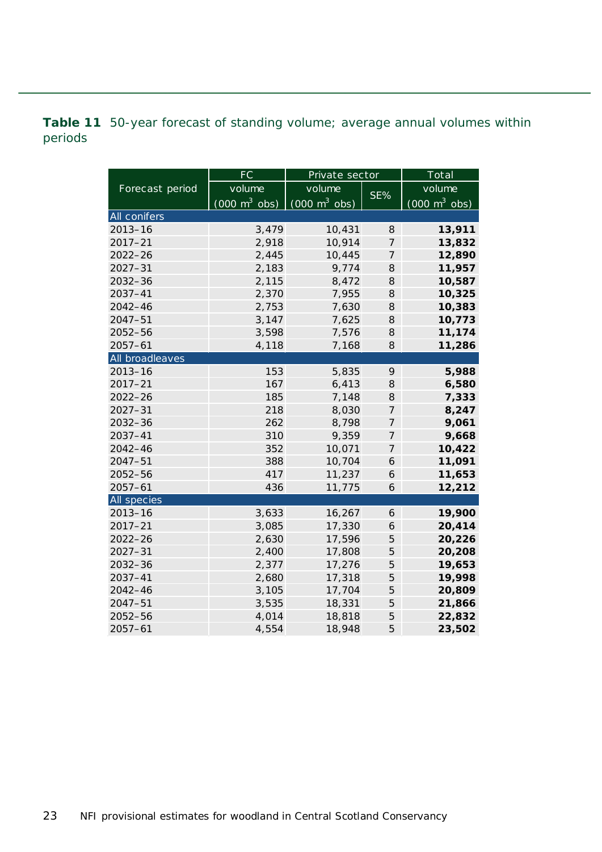<span id="page-22-0"></span>**Table 11** 50-year forecast of standing volume; average annual volumes within periods

|                 | <b>FC</b>                       | Private sector                  |                | Total                           |  |  |
|-----------------|---------------------------------|---------------------------------|----------------|---------------------------------|--|--|
| Forecast period | volume                          | volume                          | SE%            | volume                          |  |  |
|                 | $(000 \text{ m}^3 \text{ obs})$ | $(000 \text{ m}^3 \text{ obs})$ |                | $(000 \text{ m}^3 \text{ obs})$ |  |  |
| All conifers    |                                 |                                 |                |                                 |  |  |
| $2013 - 16$     | 3,479                           | 10,431                          | 8              | 13,911                          |  |  |
| $2017 - 21$     | 2,918                           | 10,914                          | $\overline{7}$ | 13,832                          |  |  |
| $2022 - 26$     | 2,445                           | 10,445                          | 7              | 12,890                          |  |  |
| $2027 - 31$     | 2,183                           | 9,774                           | 8              | 11,957                          |  |  |
| 2032-36         | 2,115                           | 8,472                           | 8              | 10,587                          |  |  |
| 2037-41         | 2,370                           | 7,955                           | 8              | 10,325                          |  |  |
| $2042 - 46$     | 2,753                           | 7,630                           | 8              | 10,383                          |  |  |
| $2047 - 51$     | 3,147                           | 7,625                           | 8              | 10,773                          |  |  |
| $2052 - 56$     | 3,598                           | 7,576                           | 8              | 11,174                          |  |  |
| $2057 - 61$     | 4,118                           | 7,168                           | 8              | 11,286                          |  |  |
| All broadleaves |                                 |                                 |                |                                 |  |  |
| $2013 - 16$     | 153                             | 5,835                           | 9              | 5,988                           |  |  |
| $2017 - 21$     | 167                             | 6,413                           | 8              | 6,580                           |  |  |
| $2022 - 26$     | 185                             | 7,148                           | 8              | 7,333                           |  |  |
| $2027 - 31$     | 218                             | 8,030                           | 7              | 8,247                           |  |  |
| 2032-36         | 262                             | 8,798                           | $\overline{7}$ | 9,061                           |  |  |
| $2037 - 41$     | 310                             | 9,359                           | 7              | 9,668                           |  |  |
| 2042-46         | 352                             | 10,071                          | $\overline{7}$ | 10,422                          |  |  |
| $2047 - 51$     | 388                             | 10,704                          | 6              | 11,091                          |  |  |
| 2052-56         | 417                             | 11,237                          | 6              | 11,653                          |  |  |
| $2057 - 61$     | 436                             | 11,775                          | 6              | 12,212                          |  |  |
| All species     |                                 |                                 |                |                                 |  |  |
| $2013 - 16$     | 3,633                           | 16,267                          | 6              | 19,900                          |  |  |
| $2017 - 21$     | 3,085                           | 17,330                          | 6              | 20,414                          |  |  |
| $2022 - 26$     | 2,630                           | 17,596                          | 5              | 20,226                          |  |  |
| $2027 - 31$     | 2,400                           | 17,808                          | 5              | 20,208                          |  |  |
| $2032 - 36$     | 2,377                           | 17,276                          | 5              | 19,653                          |  |  |
| $2037 - 41$     | 2,680                           | 17,318                          | 5              | 19,998                          |  |  |
| $2042 - 46$     | 3,105                           | 17,704                          | 5              | 20,809                          |  |  |
| $2047 - 51$     | 3,535                           | 18,331                          | 5              | 21,866                          |  |  |
| 2052-56         | 4,014                           | 18,818                          | 5              | 22,832                          |  |  |
| $2057 - 61$     | 4,554                           | 18,948                          | 5              | 23,502                          |  |  |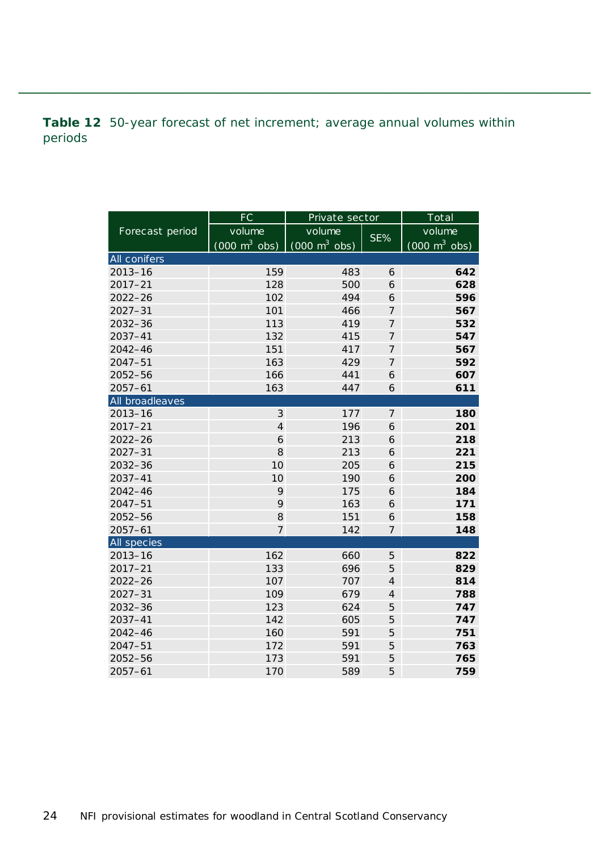<span id="page-23-0"></span>**Table 12** 50-year forecast of net increment; average annual volumes within periods

|                 | FC                              | Private sector                      |                | Total                           |  |  |
|-----------------|---------------------------------|-------------------------------------|----------------|---------------------------------|--|--|
| Forecast period | volume                          | volume                              | SE%            | volume                          |  |  |
|                 | $(000 \text{ m}^3 \text{ obs})$ | $(000 \; \text{m}^3 \; \text{obs})$ |                | $(000 \text{ m}^3 \text{ obs})$ |  |  |
| All conifers    |                                 |                                     |                |                                 |  |  |
| $2013 - 16$     | 159                             | 483                                 | 6              | 642                             |  |  |
| $2017 - 21$     | 128                             | 500                                 | 6              | 628                             |  |  |
| $2022 - 26$     | 102                             | 494                                 | 6              | 596                             |  |  |
| $2027 - 31$     | 101                             | 466                                 | $\overline{7}$ | 567                             |  |  |
| 2032-36         | 113                             | 419                                 | $\overline{7}$ | 532                             |  |  |
| 2037-41         | 132                             | 415                                 | 7              | 547                             |  |  |
| $2042 - 46$     | 151                             | 417                                 | $\overline{7}$ | 567                             |  |  |
| $2047 - 51$     | 163                             | 429                                 | $\overline{7}$ | 592                             |  |  |
| 2052-56         | 166                             | 441                                 | 6              | 607                             |  |  |
| $2057 - 61$     | 163                             | 447                                 | 6              | 611                             |  |  |
| All broadleaves |                                 |                                     |                |                                 |  |  |
| $2013 - 16$     | 3                               | 177                                 | $\overline{7}$ | 180                             |  |  |
| $2017 - 21$     | $\overline{4}$                  | 196                                 | 6              | 201                             |  |  |
| $2022 - 26$     | 6                               | 213                                 | 6              | 218                             |  |  |
| $2027 - 31$     | 8                               | 213                                 | 6              | 221                             |  |  |
| 2032-36         | 10                              | 205                                 | 6              | 215                             |  |  |
| $2037 - 41$     | 10                              | 190                                 | 6              | 200                             |  |  |
| 2042-46         | 9                               | 175                                 | 6              | 184                             |  |  |
| $2047 - 51$     | 9                               | 163                                 | 6              | 171                             |  |  |
| 2052-56         | 8                               | 151                                 | 6              | 158                             |  |  |
| $2057 - 61$     | $\overline{7}$                  | 142                                 | 7              | 148                             |  |  |
| All species     |                                 |                                     |                |                                 |  |  |
| $2013 - 16$     | 162                             | 660                                 | 5              | 822                             |  |  |
| $2017 - 21$     | 133                             | 696                                 | 5              | 829                             |  |  |
| $2022 - 26$     | 107                             | 707                                 | $\overline{4}$ | 814                             |  |  |
| $2027 - 31$     | 109                             | 679                                 | $\overline{4}$ | 788                             |  |  |
| 2032-36         | 123                             | 624                                 | 5              | 747                             |  |  |
| 2037-41         | 142                             | 605                                 | 5              | 747                             |  |  |
| 2042-46         | 160                             | 591                                 | 5              | 751                             |  |  |
| $2047 - 51$     | 172                             | 591                                 | 5              | 763                             |  |  |
| 2052-56         | 173                             | 591                                 | 5              | 765                             |  |  |
| $2057 - 61$     | 170                             | 589                                 | 5              | 759                             |  |  |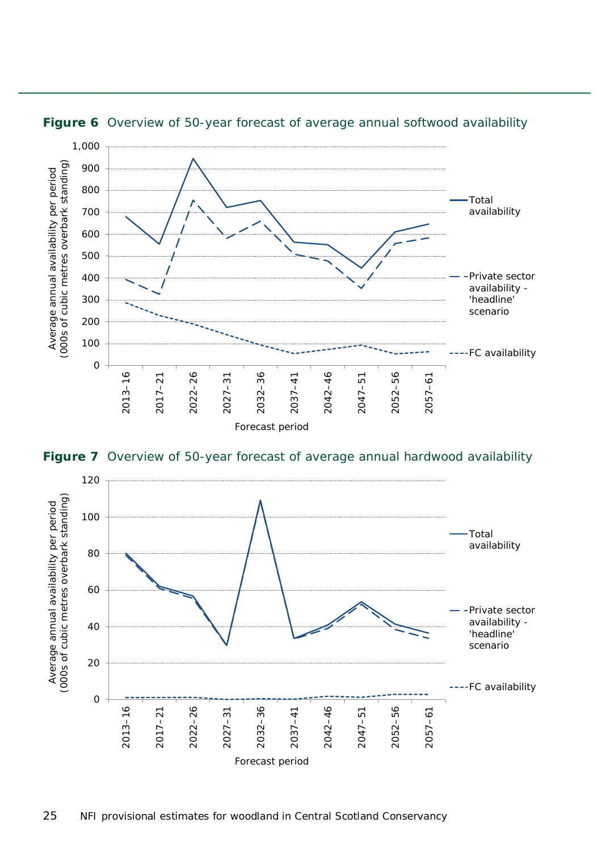

<span id="page-24-0"></span>**Figure 6** Overview of 50-year forecast of average annual softwood availability

<span id="page-24-1"></span>**Figure 7** Overview of 50-year forecast of average annual hardwood availability

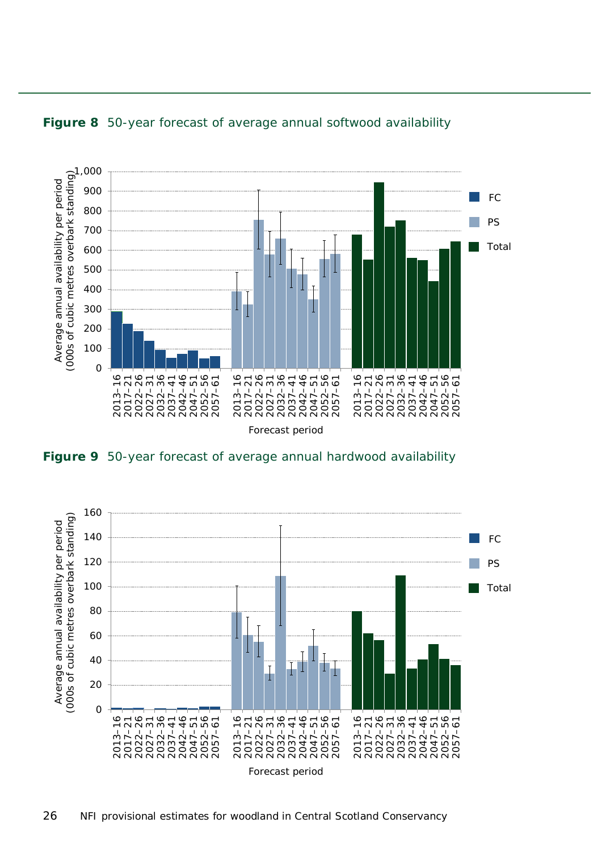

#### <span id="page-25-0"></span>**Figure 8** 50-year forecast of average annual softwood availability

<span id="page-25-1"></span>**Figure 9** 50-year forecast of average annual hardwood availability

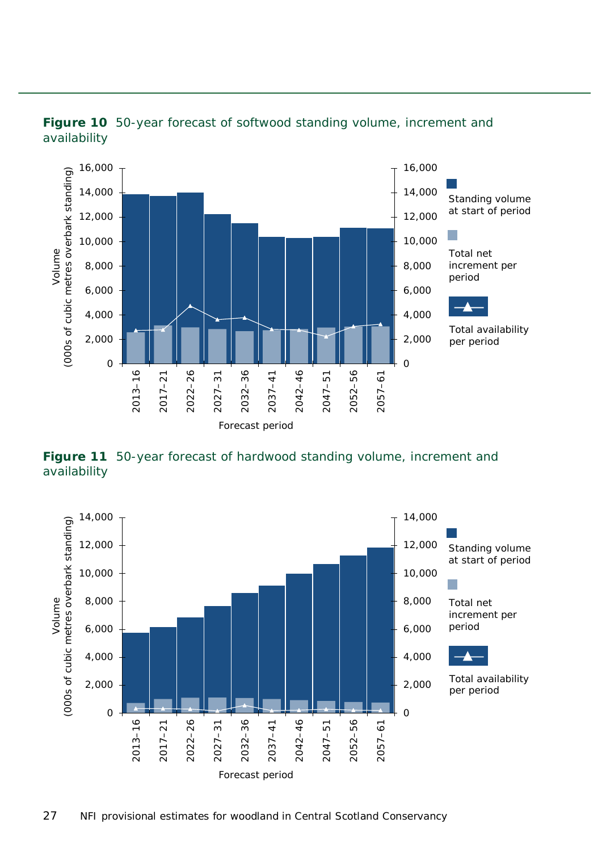

<span id="page-26-0"></span>

<span id="page-26-1"></span>**Figure 11** 50-year forecast of hardwood standing volume, increment and availability

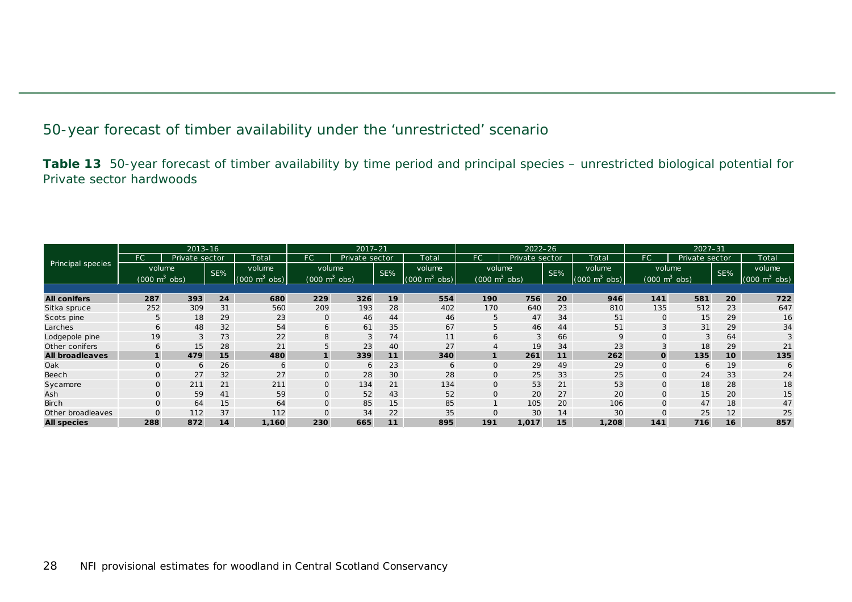#### 50-year forecast of timber availability under the 'unrestricted' scenario

**Table 13** 50-year forecast of timber availability by time period and principal species – unrestricted biological potential for Private sector hardwoods

<span id="page-27-1"></span><span id="page-27-0"></span>

| $2013 - 16$            |                                 |                |     |                                 |                                 | $2017 - 21$    |     | $2022 - 26$                     |                                 |                |     | $2027 - 31$                     |                |                                 |     |                                 |
|------------------------|---------------------------------|----------------|-----|---------------------------------|---------------------------------|----------------|-----|---------------------------------|---------------------------------|----------------|-----|---------------------------------|----------------|---------------------------------|-----|---------------------------------|
|                        | FC.                             | Private sector |     | Total                           | FC                              | Private sector |     | Total                           | FC.                             | Private sector |     | Total                           | FC '           | Private sector                  |     | Total                           |
| Principal species      | volume                          |                | SE% | volume                          | volume                          |                | SE% | volume                          | volume                          |                | SE% | volume                          |                | volume                          | SE% | volume                          |
|                        | $(000 \text{ m}^3 \text{ obs})$ |                |     | m <sup>3</sup><br>(000)<br>obs) | $(000 \text{ m}^3 \text{ obs})$ |                |     | $(000 \text{ m}^3 \text{ obs})$ | $(000 \text{ m}^3 \text{ obs})$ |                |     | $(000 \text{ m}^3 \text{ obs})$ |                | $(000 \text{ m}^3 \text{ obs})$ |     | $(000 \text{ m}^3 \text{ obs})$ |
|                        |                                 |                |     |                                 |                                 |                |     |                                 |                                 |                |     |                                 |                |                                 |     |                                 |
| <b>All conifers</b>    | 287                             | 393            | 24  | 680                             | 229                             | 326            | 19  | 554                             | 190                             | 756            | 20  | 946                             | 141            | 581                             | 20  | 722                             |
| Sitka spruce           | 252                             | 309            | 31  | 560                             | 209                             | 193            | 28  | 402                             | 170                             | 640            | 23  | 810                             | 135            | 512                             | 23  | 647                             |
| Scots pine             | 5                               | 18             | 29  | 23                              | $\mathbf{O}$                    | 46             | 44  | 46                              | 5                               | 47             | 34  | 51                              | $\mathbf{O}$   | 15                              | 29  | 16                              |
| Larches                | 6                               | 48             | 32  | 54                              | 6                               | 61             | 35  | 67                              | 5                               | 46             | 44  | 51                              | 3              | 31                              | 29  | 34                              |
| Lodgepole pine         | 19                              | 3              | 73  | 22                              | 8                               | 3              | 74  | 11                              | 6                               | 3              | 66  | 9                               | $\Omega$       | 3                               | 64  |                                 |
| Other conifers         | 6                               | 15             | 28  | 21                              | 5                               | 23             | 40  | 27                              |                                 | 19             | 34  | 23                              |                | 18                              | 29  | 21                              |
| <b>All broadleaves</b> |                                 | 479            | 15  | 480                             |                                 | 339            | 11  | 340                             |                                 | 261            | 11  | 262                             | $\mathbf 0$    | 135                             | 10  | 135                             |
| Oak                    |                                 | 6              | 26  | 6                               | $\mathbf 0$                     | 6              | 23  | 6                               |                                 | 29             | 49  | 29                              | $\overline{O}$ | 6                               | 19  | 6                               |
| Beech                  |                                 | 27             | 32  | 27                              | 0                               | 28             | 30  | 28                              |                                 | 25             | 33  | 25                              | $\mathbf{O}$   | 24                              | 33  | 24                              |
| Sycamore               |                                 | 211            | 21  | 211                             | $\mathbf 0$                     | 134            | 21  | 134                             | $\mathbf{O}$                    | 53             | 21  | 53                              | $\mathbf{O}$   | 18                              | 28  | 18                              |
| Ash                    |                                 | 59             | 41  | 59                              | 0                               | 52             | 43  | 52                              | $\mathbf{O}$                    | 20             | 27  | 20                              | $\mathbf 0$    | 15                              | 20  | 15                              |
| <b>Birch</b>           | $\mathbf{O}$                    | 64             | 15  | 64                              | $\mathbf{O}$                    | 85             | 15  | 85                              |                                 | 105            | 20  | 106                             | $\mathbf 0$    | 47                              | 18  | 47                              |
| Other broadleaves      |                                 | 112            | 37  | 112                             |                                 | 34             | 22  | 35                              |                                 | 30             | 14  | 30                              |                | 25                              | 12  | 25                              |
| <b>All species</b>     | 288                             | 872            | 14  | 1,160                           | 230                             | 665            | 11  | 895                             | 191                             | 1,017          | 15  | 1,208                           | 141            | 716                             | 16  | 857                             |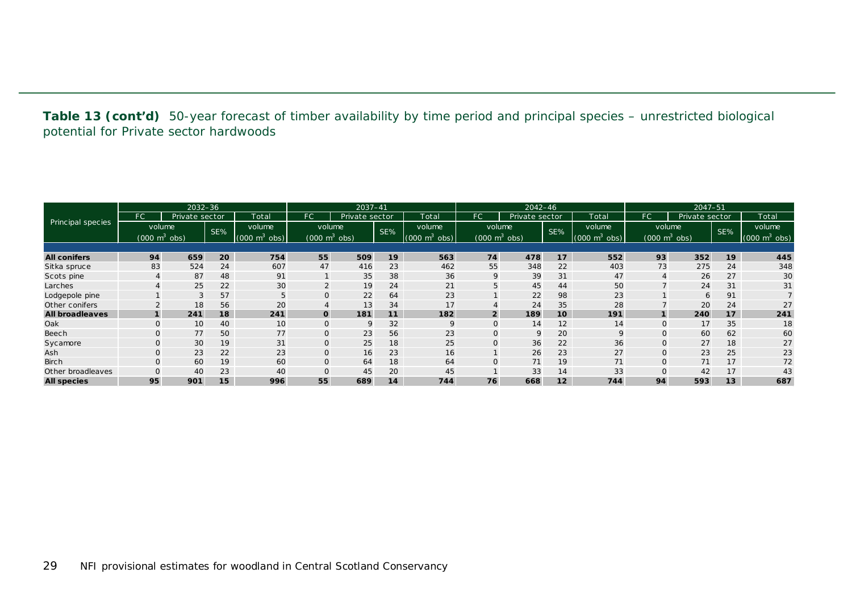**Table 13 (cont'd)** 50-year forecast of timber availability by time period and principal species – unrestricted biological potential for Private sector hardwoods

| $2032 - 36$            |                                 |                |     |                             |                                 | 2037-41        |     | $2042 - 46$                     |                                 |                |                 | $2047 - 51$                         |              |                                 |     |                                 |
|------------------------|---------------------------------|----------------|-----|-----------------------------|---------------------------------|----------------|-----|---------------------------------|---------------------------------|----------------|-----------------|-------------------------------------|--------------|---------------------------------|-----|---------------------------------|
|                        | FC <sup>1</sup>                 | Private sector |     | Total                       | FC                              | Private sector |     | Total                           | FC.                             | Private sector |                 | Total                               | FC           | Private sector                  |     | Total                           |
| Principal species      | volume                          |                | SE% | volume                      | volume                          |                | SE% | volume                          | volume                          |                | SE%             | volume                              |              | volume                          | SE% | volume                          |
|                        | $(000 \text{ m}^3 \text{ obs})$ |                |     | $(000 \text{ m}^3)$<br>obs) | $(000 \text{ m}^3 \text{ obs})$ |                |     | $(000 \text{ m}^3 \text{ obs})$ | $(000 \text{ m}^3 \text{ obs})$ |                |                 | $(000 \; \text{m}^3 \; \text{obs})$ |              | $(000 \text{ m}^3 \text{ obs})$ |     | $(000 \text{ m}^3 \text{ obs})$ |
|                        |                                 |                |     |                             |                                 |                |     |                                 |                                 |                |                 |                                     |              |                                 |     |                                 |
| <b>All conifers</b>    | 94                              | 659            | 20  | 754                         | 55                              | 509            | 19  | 563                             | 74                              | 478            | 17              | 552                                 | 93           | 352                             | 19  | 445                             |
| Sitka spruce           | 83                              | 524            | 24  | 607                         | 47                              | 416            | 23  | 462                             | 55                              | 348            | 22              | 403                                 | 73           | 275                             | 24  | 348                             |
| Scots pine             |                                 | 87             | 48  | 91                          |                                 | 35             | 38  | 36                              | 9                               | 39             | 31              | 47                                  | 4            | 26                              | 27  | 30                              |
| Larches                |                                 | 25             | 22  | 30                          | 2                               | 19             | 24  | 21                              | 5                               | 45             | 44              | 50                                  |              | 24                              | 31  | 31                              |
| Lodgepole pine         |                                 | 3              | 57  | 5                           | O                               | 22             | 64  | 23                              |                                 | 22             | 98              | 23                                  |              | 6                               | 91  |                                 |
| Other conifers         |                                 | 18             | 56  | 20                          | $\overline{4}$                  | 13             | 34  | 17                              |                                 | 24             | 35              | 28                                  |              | 20                              | 24  | 27                              |
| <b>All broadleaves</b> |                                 | 241            | 18  | 241                         | $\mathbf{o}$                    | 181            | 11  | 182                             | $\overline{2}$                  | 189            | 10              | 191                                 | $\mathbf{1}$ | 240                             | 17  | 241                             |
| Oak                    |                                 | 10             | 40  | 10                          | 0                               | 9              | 32  | <sup>Q</sup>                    | $\Omega$                        | 14             | 12              | 14                                  | $\mathbf{0}$ | 17                              | 35  | 18                              |
| Beech                  |                                 | 77             | 50  | 77                          | 0                               | 23             | 56  | 23                              | 0                               | 9              | 20              | 9                                   | 0            | 60                              | 62  | 60                              |
| Sycamore               |                                 | 30             | 19  | 31                          | $\mathsf{O}$                    | 25             | 18  | 25                              | 0                               | 36             | 22              | 36                                  | $\mathbf{0}$ | 27                              | 18  | 27                              |
| Ash                    |                                 | 23             | 22  | 23                          | $\mathsf{O}$                    | 16             | 23  | 16                              |                                 | 26             | 23              | 27                                  | $\mathbf{O}$ | 23                              | 25  | 23                              |
| <b>Birch</b>           |                                 | 60             | 19  | 60                          | $\mathbf{O}$                    | 64             | 18  | 64                              | $\Omega$                        | 71             | 19              | 71                                  | $\mathbf{0}$ | 71                              | 17  | 72                              |
| Other broadleaves      |                                 | 40             | 23  | 40                          | $\overline{O}$                  | 45             | 20  | 45                              |                                 | 33             | 14              | 33                                  |              | 42                              | 17  | 43                              |
| <b>All species</b>     | 95                              | 901            | 15  | 996                         | 55                              | 689            | 14  | 744                             | 76                              | 668            | 12 <sup>2</sup> | 744                                 | 94           | 593                             | 13  | 687                             |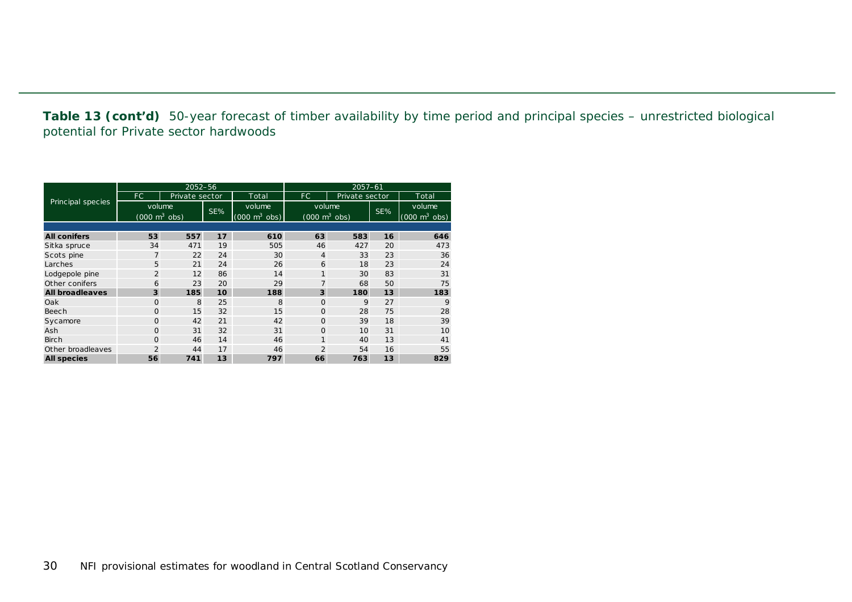**Table 13 (cont'd)** 50-year forecast of timber availability by time period and principal species – unrestricted biological potential for Private sector hardwoods

|                        |                                 | 2052-56        |     |                                 | $2057 - 61$                     |                |     |                                 |  |  |  |
|------------------------|---------------------------------|----------------|-----|---------------------------------|---------------------------------|----------------|-----|---------------------------------|--|--|--|
|                        | FC.                             | Private sector |     | Total                           | FC.                             | Private sector |     | Total                           |  |  |  |
| Principal species      | volume                          |                | SE% | volume                          | volume                          |                | SE% | volume.                         |  |  |  |
|                        | $(000 \text{ m}^3 \text{ obs})$ |                |     | $(000 \text{ m}^3 \text{ obs})$ | $(000 \text{ m}^3 \text{ obs})$ |                |     | $(000 \text{ m}^3 \text{ obs})$ |  |  |  |
|                        |                                 |                |     |                                 |                                 |                |     |                                 |  |  |  |
| <b>All conifers</b>    | 53                              | 557            | 17  | 610                             | 63                              | 583            | 16  | 646                             |  |  |  |
| Sitka spruce           | 34                              | 471            | 19  | 505                             | 46                              | 427            | 20  | 473                             |  |  |  |
| Scots pine             | 7                               | 22             | 24  | 30                              | $\overline{4}$                  | 33             | 23  | 36                              |  |  |  |
| Larches                | 5                               | 21             | 24  | 26                              | 6                               | 18             | 23  | 24                              |  |  |  |
| Lodgepole pine         | $\overline{2}$                  | 12             | 86  | 14                              |                                 | 30             | 83  | 31                              |  |  |  |
| Other conifers         | 6                               | 23             | 20  | 29                              | 7                               | 68             | 50  | 75                              |  |  |  |
| <b>All broadleaves</b> | 3                               | 185            | 10  | 188                             | 3                               | 180            | 13  | 183                             |  |  |  |
| Oak                    | $\Omega$                        | 8              | 25  | 8                               | $\Omega$                        | 9              | 27  | 9                               |  |  |  |
| Beech                  | $\Omega$                        | 15             | 32  | 15                              | $\Omega$                        | 28             | 75  | 28                              |  |  |  |
| Sycamore               | $\overline{O}$                  | 42             | 21  | 42                              | $\Omega$                        | 39             | 18  | 39                              |  |  |  |
| Ash                    | $\Omega$                        | 31             | 32  | 31                              | $\Omega$                        | 10             | 31  | 10                              |  |  |  |
| <b>Birch</b>           | $\Omega$                        | 46             | 14  | 46                              | 1                               | 40             | 13  | 41                              |  |  |  |
| Other broadleaves      | 2                               | 44             | 17  | 46                              | $\overline{2}$<br>54            |                | 16  | 55                              |  |  |  |
| <b>All species</b>     | 56                              | 741            | 13  | 797                             | 66                              | 763            | 13  | 829                             |  |  |  |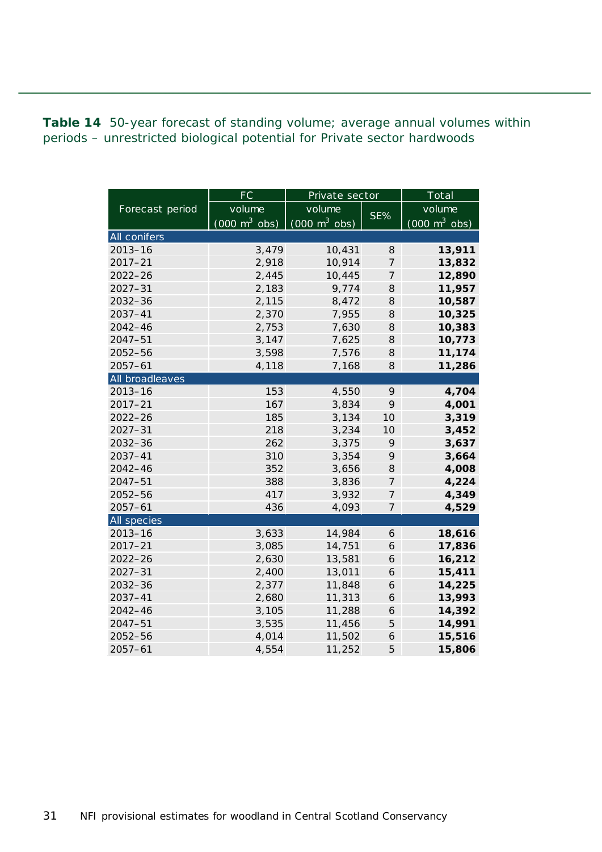<span id="page-30-0"></span>**Table 14** 50-year forecast of standing volume; average annual volumes within periods – unrestricted biological potential for Private sector hardwoods

|                     | FC                              | Private sector                  | Total            |                                 |  |
|---------------------|---------------------------------|---------------------------------|------------------|---------------------------------|--|
| Forecast period     | volume                          | volume                          |                  | volume                          |  |
|                     | $(000 \text{ m}^3 \text{ obs})$ | $(000 \text{ m}^3 \text{ obs})$ | SE%              | $(000 \text{ m}^3 \text{ obs})$ |  |
| <b>All conifers</b> |                                 |                                 |                  |                                 |  |
| $2013 - 16$         | 3,479                           | 10,431                          | 8                | 13,911                          |  |
| $2017 - 21$         | 2,918                           | 10,914                          | $\overline{7}$   | 13,832                          |  |
| 2022-26             | 2,445                           | 10,445                          | $\overline{7}$   | 12,890                          |  |
| $2027 - 31$         | 2,183                           | 9,774                           | 8                | 11,957                          |  |
| 2032-36             | 2,115                           | 8,472                           | 8                | 10,587                          |  |
| $2037 - 41$         | 2,370                           | 7,955                           | 8                | 10,325                          |  |
| 2042-46             | 2,753                           | 7,630                           | 8                | 10,383                          |  |
| $2047 - 51$         | 3,147                           | 7,625                           | 8                | 10,773                          |  |
| 2052-56             | 3,598                           | 7,576                           | 8                | 11,174                          |  |
| $2057 - 61$         | 4,118                           | 7,168                           | 8                | 11,286                          |  |
| All broadleaves     |                                 |                                 |                  |                                 |  |
| $2013 - 16$         | 153                             | 4,550                           | 9                | 4,704                           |  |
| $2017 - 21$         | 167                             | 3,834                           | 9                | 4,001                           |  |
| $2022 - 26$         | 185                             | 3,134                           | 10               | 3,319                           |  |
| $2027 - 31$         | 218                             | 3,234                           | 10               | 3,452                           |  |
| 2032-36             | 262                             | 3,375                           | 9                | 3,637                           |  |
| $2037 - 41$         | 310                             | 3,354                           | 9                | 3,664                           |  |
| $2042 - 46$         | 352                             | 3,656                           | 8                | 4,008                           |  |
| $2047 - 51$         | 388                             | 3,836                           | $\overline{7}$   | 4,224                           |  |
| $2052 - 56$         | 417                             | 3,932                           | $\overline{7}$   | 4,349                           |  |
| $2057 - 61$         | 436                             | 4,093                           | $\boldsymbol{7}$ | 4,529                           |  |
| <b>All species</b>  |                                 |                                 |                  |                                 |  |
| $2013 - 16$         | 3,633                           | 14,984                          | 6                | 18,616                          |  |
| $2017 - 21$         | 3,085                           | 14,751                          | 6                | 17,836                          |  |
| $2022 - 26$         | 2,630                           | 13,581                          | 6                | 16,212                          |  |
| $2027 - 31$         | 2,400                           | 13,011                          | 6                | 15,411                          |  |
| $2032 - 36$         | 2,377                           | 11,848                          | 6                | 14,225                          |  |
| 2037-41             | 2,680                           | 11,313                          | 6                | 13,993                          |  |
| $2042 - 46$         | 3,105                           | 11,288                          | 6                | 14,392                          |  |
| $2047 - 51$         | 3,535                           | 11,456                          | 5                | 14,991                          |  |
| 2052-56             | 4,014                           | 11,502                          | 6                | 15,516                          |  |
| $2057 - 61$         | 4,554                           | 11,252                          | 5                | 15,806                          |  |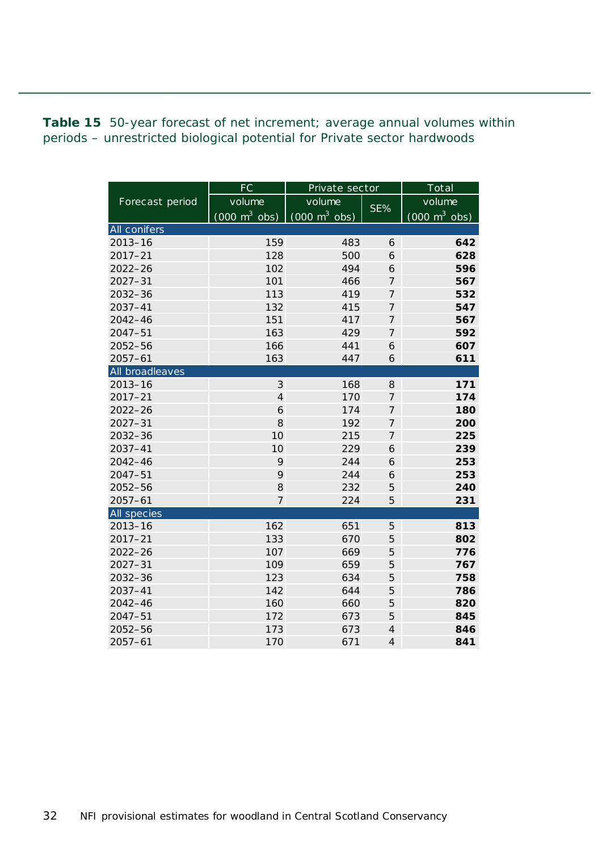<span id="page-31-0"></span>**Table 15** 50-year forecast of net increment; average annual volumes within periods – unrestricted biological potential for Private sector hardwoods

|                     | FC                              | Private sector                  |                | Total                           |  |  |
|---------------------|---------------------------------|---------------------------------|----------------|---------------------------------|--|--|
| Forecast period     | volume                          | volume                          | SE%            | volume                          |  |  |
|                     | $(000 \text{ m}^3 \text{ obs})$ | $(000 \text{ m}^3 \text{ obs})$ |                | $(000 \text{ m}^3 \text{ obs})$ |  |  |
| <b>All conifers</b> |                                 |                                 |                |                                 |  |  |
| $2013 - 16$         | 159                             | 483                             | 6              | 642                             |  |  |
| $2017 - 21$         | 128                             | 500                             | 6              | 628                             |  |  |
| $2022 - 26$         | 102                             | 494                             | 6              | 596                             |  |  |
| $2027 - 31$         | 101                             | 466                             | $\overline{7}$ | 567                             |  |  |
| 2032-36             | 113                             | 419                             | $\overline{7}$ | 532                             |  |  |
| $2037 - 41$         | 132                             | 415                             | 7              | 547                             |  |  |
| $2042 - 46$         | 151                             | 417                             | $\overline{7}$ | 567                             |  |  |
| $2047 - 51$         | 163                             | 429                             | $\overline{7}$ | 592                             |  |  |
| 2052-56             | 166                             | 441                             | 6              | 607                             |  |  |
| $2057 - 61$         | 163                             | 447                             | 6              | 611                             |  |  |
| All broadleaves     |                                 |                                 |                |                                 |  |  |
| $2013 - 16$         | 3                               | 168                             | 8              | 171                             |  |  |
| $2017 - 21$         | $\overline{\mathbf{4}}$         | 170                             | $\overline{7}$ | 174                             |  |  |
| $2022 - 26$         | 6                               | 174                             | $\overline{7}$ | 180                             |  |  |
| $2027 - 31$         | 8                               | 192                             | $\overline{7}$ | 200                             |  |  |
| $2032 - 36$         | 10                              | 215                             | $\overline{7}$ | 225                             |  |  |
| $2037 - 41$         | 10                              | 229                             | 6              | 239                             |  |  |
| $2042 - 46$         | 9                               | 244                             | 6              | 253                             |  |  |
| $2047 - 51$         | 9                               | 244                             | 6              | 253                             |  |  |
| $2052 - 56$         | 8                               | 232                             | 5              | 240                             |  |  |
| $2057 - 61$         | $\overline{7}$                  | 224                             | 5              | 231                             |  |  |
| All species         |                                 |                                 |                |                                 |  |  |
| $2013 - 16$         | 162                             | 651                             | 5              | 813                             |  |  |
| $2017 - 21$         | 133                             | 670                             | 5              | 802                             |  |  |
| $2022 - 26$         | 107                             | 669                             | 5              | 776                             |  |  |
| $2027 - 31$         | 109                             | 659                             | 5              | 767                             |  |  |
| $2032 - 36$         | 123                             | 634                             | 5              | 758                             |  |  |
| $2037 - 41$         | 142                             | 644                             | 5              | 786                             |  |  |
| $2042 - 46$         | 160                             | 660                             | 5              | 820                             |  |  |
| $2047 - 51$         | 172                             | 673                             | 5              | 845                             |  |  |
| 2052-56             | 173                             | 673                             | $\overline{4}$ | 846                             |  |  |
| $2057 - 61$         | 170                             | 671                             | $\overline{4}$ | 841                             |  |  |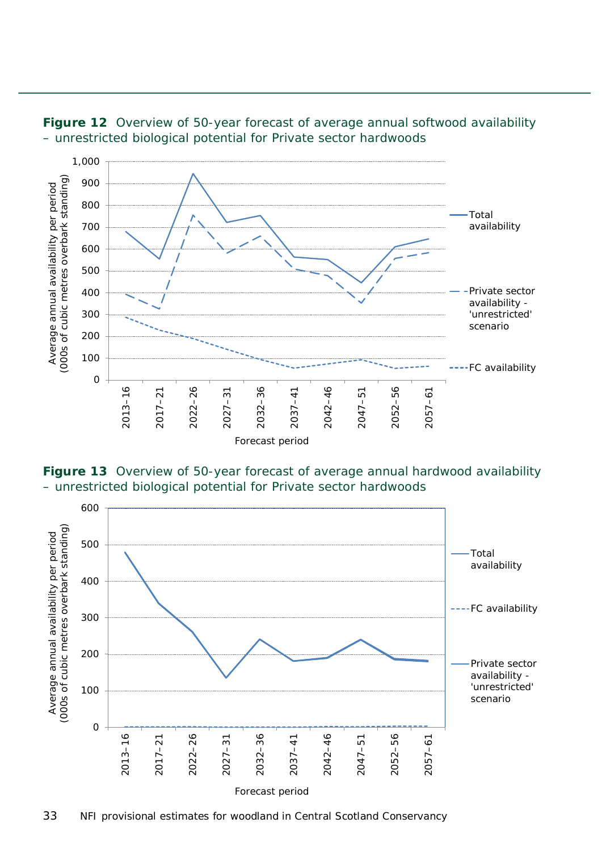

<span id="page-32-0"></span>

<span id="page-32-1"></span>**Figure 13** Overview of 50-year forecast of average annual hardwood availability – unrestricted biological potential for Private sector hardwoods

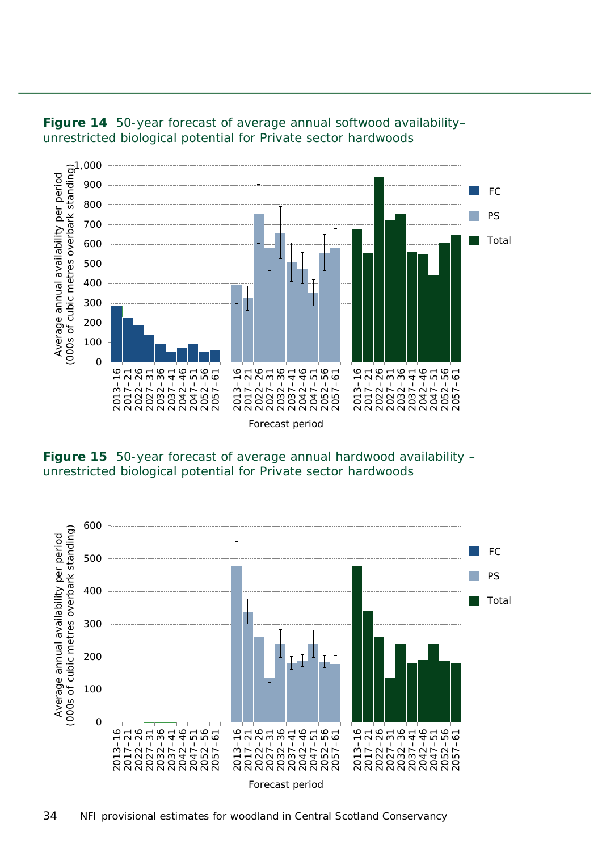

<span id="page-33-0"></span>

<span id="page-33-1"></span>**Figure 15** 50-year forecast of average annual hardwood availability – unrestricted biological potential for Private sector hardwoods

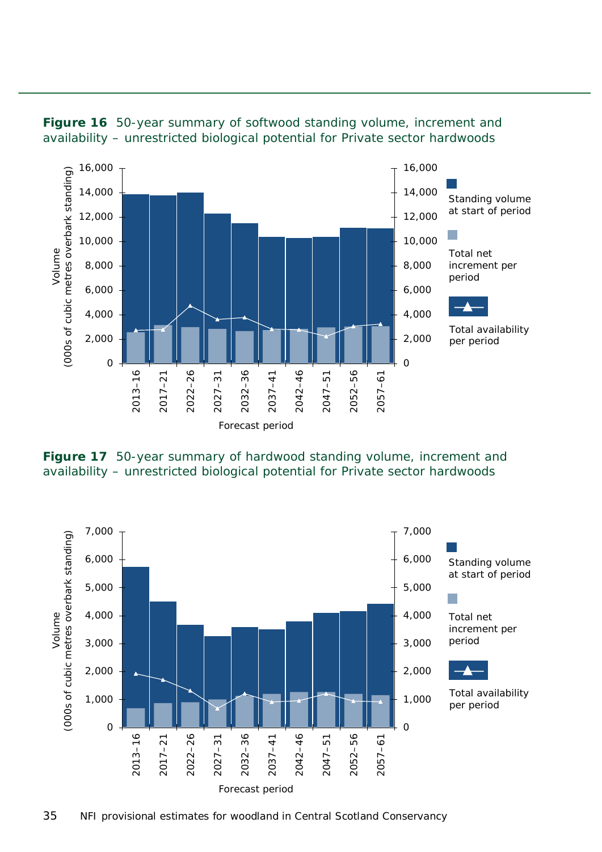

<span id="page-34-0"></span>

<span id="page-34-1"></span>**Figure 17** 50-year summary of hardwood standing volume, increment and availability – unrestricted biological potential for Private sector hardwoods

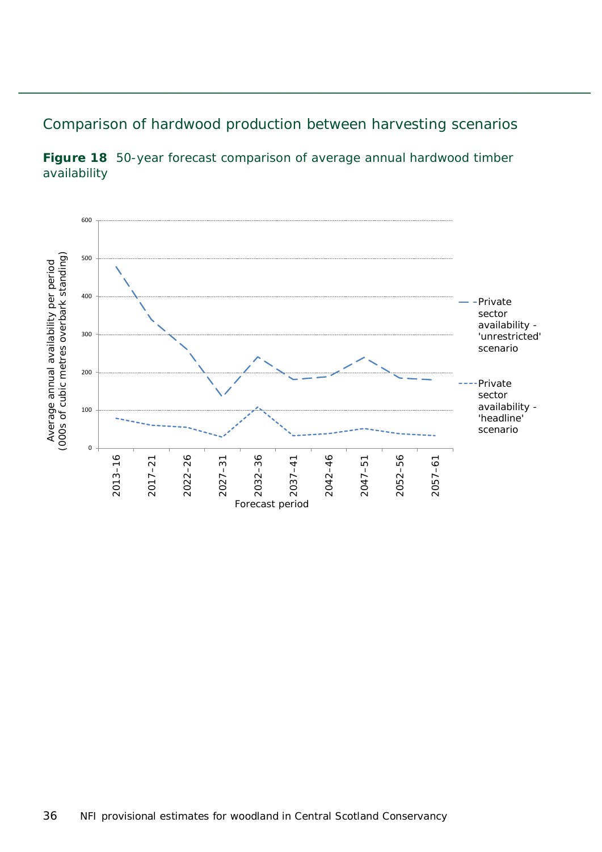#### <span id="page-35-0"></span>Comparison of hardwood production between harvesting scenarios



<span id="page-35-1"></span>**Figure 18** 50-year forecast comparison of average annual hardwood timber availability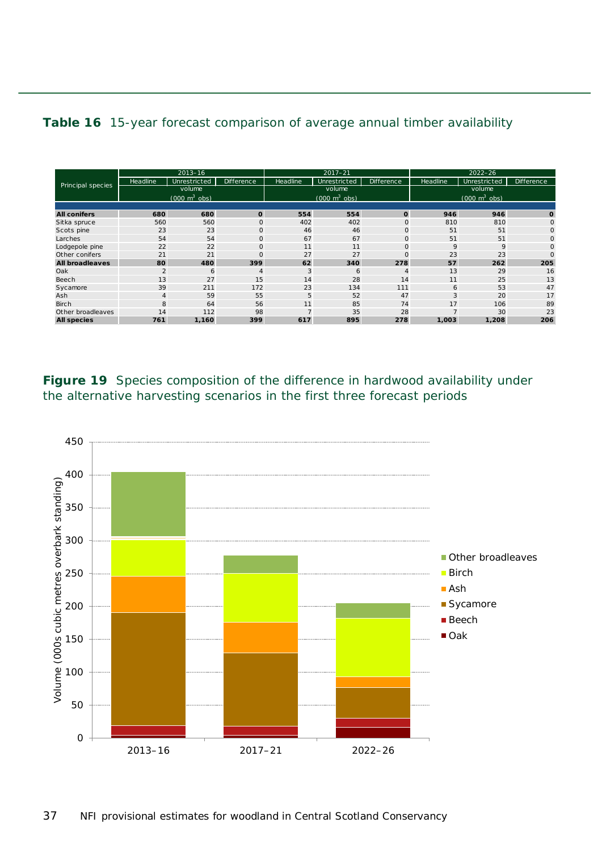#### <span id="page-36-1"></span>**Table 16** 15-year forecast comparison of average annual timber availability

| Principal species      | $2013 - 16$                         |              |                | $2017 - 21$                         |              |                   | $2022 - 26$                     |              |                |
|------------------------|-------------------------------------|--------------|----------------|-------------------------------------|--------------|-------------------|---------------------------------|--------------|----------------|
|                        | <b>Headline</b>                     | Unrestricted | Difference     | Headline                            | Unrestricted | <b>Difference</b> | Headline                        | Unrestricted | Difference     |
|                        | volume                              |              |                | volume                              |              |                   | volume                          |              |                |
|                        | $(000 \; \text{m}^3 \; \text{obs})$ |              |                | $(000 \; \text{m}^3 \; \text{obs})$ |              |                   | $(000 \text{ m}^3 \text{ obs})$ |              |                |
|                        |                                     |              |                |                                     |              |                   |                                 |              |                |
| <b>All conifers</b>    | 680                                 | 680          | $\mathbf{o}$   | 554                                 | 554          | $\mathbf{o}$      | 946                             | 946          | $\mathbf 0$    |
| Sitka spruce           | 560                                 | 560          | $\mathbf 0$    | 402                                 | 402          | $\circ$           | 810                             | 810          | $\Omega$       |
| Scots pine             | 23                                  | 23           | $\mathbf 0$    | 46                                  | 46           | $\mathbf{O}$      | 51                              | 51           | $\overline{O}$ |
| Larches                | 54                                  | 54           | $\mathbf 0$    | 67                                  | 67           | $\circ$           | 51                              | 51           | $\overline{O}$ |
| Lodgepole pine         | 22                                  | 22           | $\mathbf 0$    | 11                                  | 11           | $\mathbf{O}$      | 9                               | 9            | $\overline{O}$ |
| Other conifers         | 21                                  | 21           | $\Omega$       | 27                                  | 27           | $\circ$           | 23                              | 23           | $\overline{O}$ |
| <b>All broadleaves</b> | 80                                  | 480          | 399            | 62                                  | 340          | 278               | 57                              | 262          | 205            |
| Oak                    | $\overline{2}$                      | 6            | $\overline{4}$ | 3                                   | 6            | 4                 | 13                              | 29           | 16             |
| Beech                  | 13                                  | 27           | 15             | 14                                  | 28           | 14                | 11                              | 25           | 13             |
| Sycamore               | 39                                  | 211          | 172            | 23                                  | 134          | 111               | 6                               | 53           | 47             |
| Ash                    | $\overline{4}$                      | 59           | 55             | 5                                   | 52           | 47                | 3                               | 20           | 17             |
| <b>Birch</b>           | 8                                   | 64           | 56             | 11                                  | 85           | 74                | 17                              | 106          | 89             |
| Other broadleaves      | 14                                  | 112          | 98             | $\overline{ }$                      | 35           | 28                |                                 | 30           | 23             |
| <b>All species</b>     | 761                                 | 1,160        | 399            | 617                                 | 895          | 278               | 1,003                           | 1,208        | 206            |

<span id="page-36-0"></span>**Figure 19** Species composition of the difference in hardwood availability under the alternative harvesting scenarios in the first three forecast periods